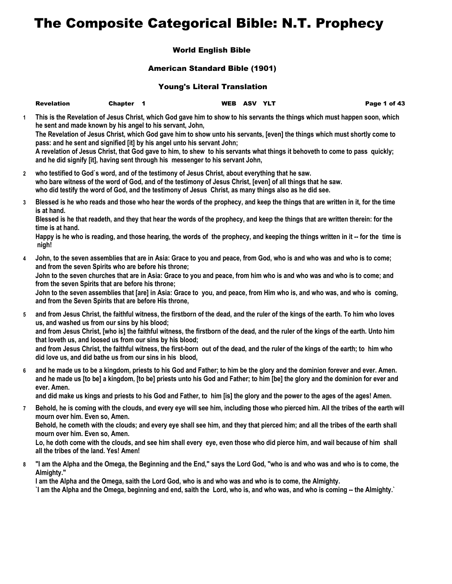## The Composite Categorical Bible: N.T. Prophecy

## World English Bible

## American Standard Bible (1901)

## Young's Literal Translation

|              | <b>Revelation</b>                                         | <b>Chapter</b> |                                                                                                                                                             | WEB ASV YLT |  | Page 1 of 43                                                                                                                                                                                                                                              |
|--------------|-----------------------------------------------------------|----------------|-------------------------------------------------------------------------------------------------------------------------------------------------------------|-------------|--|-----------------------------------------------------------------------------------------------------------------------------------------------------------------------------------------------------------------------------------------------------------|
| 1.           | he sent and made known by his angel to his servant, John, |                |                                                                                                                                                             |             |  | This is the Revelation of Jesus Christ, which God gave him to show to his servants the things which must happen soon, which<br>The Revelation of Jesus Christ, which God gave him to show unto his servants, [even] the things which must shortly come to |
|              |                                                           |                | pass: and he sent and signified [it] by his angel unto his servant John;<br>and he did signify [it], having sent through his messenger to his servant John, |             |  | A revelation of Jesus Christ, that God gave to him, to shew to his servants what things it behoveth to come to pass quickly;                                                                                                                              |
| $\mathbf{2}$ |                                                           |                | who testified to God's word, and of the testimony of Jesus Christ, about everything that he saw.                                                            |             |  |                                                                                                                                                                                                                                                           |

- **who bare witness of the word of God, and of the testimony of Jesus Christ, [even] of all things that he saw. who did testify the word of God, and the testimony of Jesus Christ, as many things also as he did see.**
- **3 Blessed is he who reads and those who hear the words of the prophecy, and keep the things that are written in it, for the time is at hand.**

**Blessed is he that readeth, and they that hear the words of the prophecy, and keep the things that are written therein: for the time is at hand.**

**Happy is he who is reading, and those hearing, the words of the prophecy, and keeping the things written in it -- for the time is nigh!**

**4 John, to the seven assemblies that are in Asia: Grace to you and peace, from God, who is and who was and who is to come; and from the seven Spirits who are before his throne;**

**John to the seven churches that are in Asia: Grace to you and peace, from him who is and who was and who is to come; and from the seven Spirits that are before his throne;**

**John to the seven assemblies that [are] in Asia: Grace to you, and peace, from Him who is, and who was, and who is coming, and from the Seven Spirits that are before His throne,**

- **5 and from Jesus Christ, the faithful witness, the firstborn of the dead, and the ruler of the kings of the earth. To him who loves us, and washed us from our sins by his blood; and from Jesus Christ, [who is] the faithful witness, the firstborn of the dead, and the ruler of the kings of the earth. Unto him that loveth us, and loosed us from our sins by his blood; and from Jesus Christ, the faithful witness, the first-born out of the dead, and the ruler of the kings of the earth; to him who did love us, and did bathe us from our sins in his blood,**
- **6 and he made us to be a kingdom, priests to his God and Father; to him be the glory and the dominion forever and ever. Amen. and he made us [to be] a kingdom, [to be] priests unto his God and Father; to him [be] the glory and the dominion for ever and ever. Amen.**

**and did make us kings and priests to his God and Father, to him [is] the glory and the power to the ages of the ages! Amen.**

**7 Behold, he is coming with the clouds, and every eye will see him, including those who pierced him. All the tribes of the earth will mourn over him. Even so, Amen.**

**Behold, he cometh with the clouds; and every eye shall see him, and they that pierced him; and all the tribes of the earth shall mourn over him. Even so, Amen.**

**Lo, he doth come with the clouds, and see him shall every eye, even those who did pierce him, and wail because of him shall all the tribes of the land. Yes! Amen!**

**8 "I am the Alpha and the Omega, the Beginning and the End," says the Lord God, "who is and who was and who is to come, the Almighty."**

**I am the Alpha and the Omega, saith the Lord God, who is and who was and who is to come, the Almighty.**

**`I am the Alpha and the Omega, beginning and end, saith the Lord, who is, and who was, and who is coming -- the Almighty.`**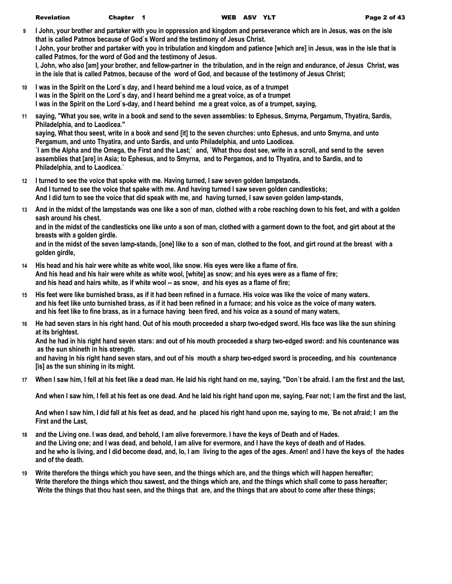- **9 I John, your brother and partaker with you in oppression and kingdom and perseverance which are in Jesus, was on the isle that is called Patmos because of God`s Word and the testimony of Jesus Christ. I John, your brother and partaker with you in tribulation and kingdom and patience [which are] in Jesus, was in the isle that is called Patmos, for the word of God and the testimony of Jesus. I, John, who also [am] your brother, and fellow-partner in the tribulation, and in the reign and endurance, of Jesus Christ, was in the isle that is called Patmos, because of the word of God, and because of the testimony of Jesus Christ;**
- **10 I was in the Spirit on the Lord`s day, and I heard behind me a loud voice, as of a trumpet I was in the Spirit on the Lord`s day, and I heard behind me a great voice, as of a trumpet I was in the Spirit on the Lord`s-day, and I heard behind me a great voice, as of a trumpet, saying,**
- **11 saying, "What you see, write in a book and send to the seven assemblies: to Ephesus, Smyrna, Pergamum, Thyatira, Sardis, Philadelphia, and to Laodicea."**

**saying, What thou seest, write in a book and send [it] to the seven churches: unto Ephesus, and unto Smyrna, and unto Pergamum, and unto Thyatira, and unto Sardis, and unto Philadelphia, and unto Laodicea.**

**`I am the Alpha and the Omega, the First and the Last;` and, `What thou dost see, write in a scroll, and send to the seven assemblies that [are] in Asia; to Ephesus, and to Smyrna, and to Pergamos, and to Thyatira, and to Sardis, and to Philadelphia, and to Laodicea.`**

- **12 I turned to see the voice that spoke with me. Having turned, I saw seven golden lampstands. And I turned to see the voice that spake with me. And having turned I saw seven golden candlesticks; And I did turn to see the voice that did speak with me, and having turned, I saw seven golden lamp-stands,**
- **13 And in the midst of the lampstands was one like a son of man, clothed with a robe reaching down to his feet, and with a golden sash around his chest.**

**and in the midst of the candlesticks one like unto a son of man, clothed with a garment down to the foot, and girt about at the breasts with a golden girdle.**

**and in the midst of the seven lamp-stands, [one] like to a son of man, clothed to the foot, and girt round at the breast with a golden girdle,**

- **14 His head and his hair were white as white wool, like snow. His eyes were like a flame of fire. And his head and his hair were white as white wool, [white] as snow; and his eyes were as a flame of fire; and his head and hairs white, as if white wool -- as snow, and his eyes as a flame of fire;**
- **15 His feet were like burnished brass, as if it had been refined in a furnace. His voice was like the voice of many waters. and his feet like unto burnished brass, as if it had been refined in a furnace; and his voice as the voice of many waters. and his feet like to fine brass, as in a furnace having been fired, and his voice as a sound of many waters,**
- **16 He had seven stars in his right hand. Out of his mouth proceeded a sharp two-edged sword. His face was like the sun shining at its brightest.**

**And he had in his right hand seven stars: and out of his mouth proceeded a sharp two-edged sword: and his countenance was as the sun shineth in his strength.**

**and having in his right hand seven stars, and out of his mouth a sharp two-edged sword is proceeding, and his countenance [is] as the sun shining in its might.**

**17 When I saw him, I fell at his feet like a dead man. He laid his right hand on me, saying, "Don`t be afraid. I am the first and the last,**

**And when I saw him, I fell at his feet as one dead. And he laid his right hand upon me, saying, Fear not; I am the first and the last,**

**And when I saw him, I did fall at his feet as dead, and he placed his right hand upon me, saying to me, `Be not afraid; I am the First and the Last,**

- **18 and the Living one. I was dead, and behold, I am alive forevermore. I have the keys of Death and of Hades. and the Living one; and I was dead, and behold, I am alive for evermore, and I have the keys of death and of Hades. and he who is living, and I did become dead, and, lo, I am living to the ages of the ages. Amen! and I have the keys of the hades and of the death.**
- **19 Write therefore the things which you have seen, and the things which are, and the things which will happen hereafter; Write therefore the things which thou sawest, and the things which are, and the things which shall come to pass hereafter; `Write the things that thou hast seen, and the things that are, and the things that are about to come after these things;**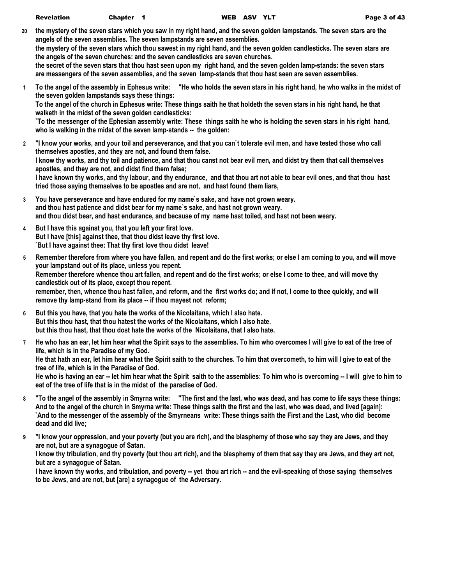**20 the mystery of the seven stars which you saw in my right hand, and the seven golden lampstands. The seven stars are the angels of the seven assemblies. The seven lampstands are seven assemblies.**

**the mystery of the seven stars which thou sawest in my right hand, and the seven golden candlesticks. The seven stars are the angels of the seven churches: and the seven candlesticks are seven churches.**

**the secret of the seven stars that thou hast seen upon my right hand, and the seven golden lamp-stands: the seven stars are messengers of the seven assemblies, and the seven lamp-stands that thou hast seen are seven assemblies.**

- **1 To the angel of the assembly in Ephesus write: "He who holds the seven stars in his right hand, he who walks in the midst of the seven golden lampstands says these things: To the angel of the church in Ephesus write: These things saith he that holdeth the seven stars in his right hand, he that walketh in the midst of the seven golden candlesticks: `To the messenger of the Ephesian assembly write: These things saith he who is holding the seven stars in his right hand, who is walking in the midst of the seven lamp-stands -- the golden:**
- **2 "I know your works, and your toil and perseverance, and that you can`t tolerate evil men, and have tested those who call themselves apostles, and they are not, and found them false. I know thy works, and thy toil and patience, and that thou canst not bear evil men, and didst try them that call themselves apostles, and they are not, and didst find them false; I have known thy works, and thy labour, and thy endurance, and that thou art not able to bear evil ones, and that thou hast tried those saying themselves to be apostles and are not, and hast found them liars,**
- **3 You have perseverance and have endured for my name`s sake, and have not grown weary. and thou hast patience and didst bear for my name`s sake, and hast not grown weary. and thou didst bear, and hast endurance, and because of my name hast toiled, and hast not been weary.**
- **4 But I have this against you, that you left your first love. But I have [this] against thee, that thou didst leave thy first love. `But I have against thee: That thy first love thou didst leave!**
- **5 Remember therefore from where you have fallen, and repent and do the first works; or else I am coming to you, and will move your lampstand out of its place, unless you repent. Remember therefore whence thou art fallen, and repent and do the first works; or else I come to thee, and will move thy candlestick out of its place, except thou repent. remember, then, whence thou hast fallen, and reform, and the first works do; and if not, I come to thee quickly, and will remove thy lamp-stand from its place -- if thou mayest not reform;**
- **6 But this you have, that you hate the works of the Nicolaitans, which I also hate. But this thou hast, that thou hatest the works of the Nicolaitans, which I also hate. but this thou hast, that thou dost hate the works of the Nicolaitans, that I also hate.**
- **7 He who has an ear, let him hear what the Spirit says to the assemblies. To him who overcomes I will give to eat of the tree of life, which is in the Paradise of my God. He that hath an ear, let him hear what the Spirit saith to the churches. To him that overcometh, to him will I give to eat of the tree of life, which is in the Paradise of God. He who is having an ear -- let him hear what the Spirit saith to the assemblies: To him who is overcoming -- I will give to him to eat of the tree of life that is in the midst of the paradise of God.**
- **8 "To the angel of the assembly in Smyrna write: "The first and the last, who was dead, and has come to life says these things: And to the angel of the church in Smyrna write: These things saith the first and the last, who was dead, and lived [again]: `And to the messenger of the assembly of the Smyrneans write: These things saith the First and the Last, who did become dead and did live;**
- **9 "I know your oppression, and your poverty (but you are rich), and the blasphemy of those who say they are Jews, and they are not, but are a synagogue of Satan.**

**I know thy tribulation, and thy poverty (but thou art rich), and the blasphemy of them that say they are Jews, and they art not, but are a synagogue of Satan.**

**I have known thy works, and tribulation, and poverty -- yet thou art rich -- and the evil-speaking of those saying themselves to be Jews, and are not, but [are] a synagogue of the Adversary.**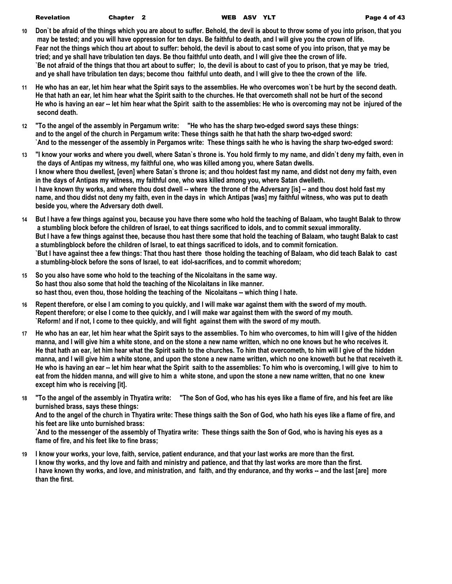- **10 Don`t be afraid of the things which you are about to suffer. Behold, the devil is about to throw some of you into prison, that you may be tested; and you will have oppression for ten days. Be faithful to death, and I will give you the crown of life. Fear not the things which thou art about to suffer: behold, the devil is about to cast some of you into prison, that ye may be tried; and ye shall have tribulation ten days. Be thou faithful unto death, and I will give thee the crown of life. `Be not afraid of the things that thou art about to suffer; lo, the devil is about to cast of you to prison, that ye may be tried, and ye shall have tribulation ten days; become thou faithful unto death, and I will give to thee the crown of the life.**
- **11 He who has an ear, let him hear what the Spirit says to the assemblies. He who overcomes won`t be hurt by the second death. He that hath an ear, let him hear what the Spirit saith to the churches. He that overcometh shall not be hurt of the second He who is having an ear -- let him hear what the Spirit saith to the assemblies: He who is overcoming may not be injured of the second death.**
- **12 "To the angel of the assembly in Pergamum write: "He who has the sharp two-edged sword says these things: and to the angel of the church in Pergamum write: These things saith he that hath the sharp two-edged sword: `And to the messenger of the assembly in Pergamos write: These things saith he who is having the sharp two-edged sword:**
- **13 "I know your works and where you dwell, where Satan`s throne is. You hold firmly to my name, and didn`t deny my faith, even in the days of Antipas my witness, my faithful one, who was killed among you, where Satan dwells. I know where thou dwellest, [even] where Satan`s throne is; and thou holdest fast my name, and didst not deny my faith, even in the days of Antipas my witness, my faithful one, who was killed among you, where Satan dwelleth. I have known thy works, and where thou dost dwell -- where the throne of the Adversary [is] -- and thou dost hold fast my name, and thou didst not deny my faith, even in the days in which Antipas [was] my faithful witness, who was put to death beside you, where the Adversary doth dwell.**
- **14 But I have a few things against you, because you have there some who hold the teaching of Balaam, who taught Balak to throw a stumbling block before the children of Israel, to eat things sacrificed to idols, and to commit sexual immorality. But I have a few things against thee, because thou hast there some that hold the teaching of Balaam, who taught Balak to cast a stumblingblock before the children of Israel, to eat things sacrificed to idols, and to commit fornication. `But I have against thee a few things: That thou hast there those holding the teaching of Balaam, who did teach Balak to cast a stumbling-block before the sons of Israel, to eat idol-sacrifices, and to commit whoredom;**
- **15 So you also have some who hold to the teaching of the Nicolaitans in the same way. So hast thou also some that hold the teaching of the Nicolaitans in like manner. so hast thou, even thou, those holding the teaching of the Nicolaitans -- which thing I hate.**
- **16 Repent therefore, or else I am coming to you quickly, and I will make war against them with the sword of my mouth. Repent therefore; or else I come to thee quickly, and I will make war against them with the sword of my mouth. `Reform! and if not, I come to thee quickly, and will fight against them with the sword of my mouth.**
- **17 He who has an ear, let him hear what the Spirit says to the assemblies. To him who overcomes, to him will I give of the hidden manna, and I will give him a white stone, and on the stone a new name written, which no one knows but he who receives it. He that hath an ear, let him hear what the Spirit saith to the churches. To him that overcometh, to him will I give of the hidden manna, and I will give him a white stone, and upon the stone a new name written, which no one knoweth but he that receiveth it. He who is having an ear -- let him hear what the Spirit saith to the assemblies: To him who is overcoming, I will give to him to eat from the hidden manna, and will give to him a white stone, and upon the stone a new name written, that no one knew except him who is receiving [it].**
- **18 "To the angel of the assembly in Thyatira write: "The Son of God, who has his eyes like a flame of fire, and his feet are like burnished brass, says these things: And to the angel of the church in Thyatira write: These things saith the Son of God, who hath his eyes like a flame of fire, and his feet are like unto burnished brass: `And to the messenger of the assembly of Thyatira write: These things saith the Son of God, who is having his eyes as a**

**flame of fire, and his feet like to fine brass;**

**19 I know your works, your love, faith, service, patient endurance, and that your last works are more than the first. I know thy works, and thy love and faith and ministry and patience, and that thy last works are more than the first. I have known thy works, and love, and ministration, and faith, and thy endurance, and thy works -- and the last [are] more than the first.**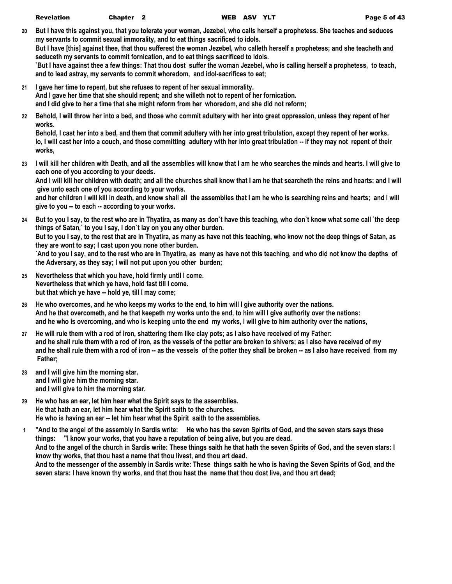**20 But I have this against you, that you tolerate your woman, Jezebel, who calls herself a prophetess. She teaches and seduces my servants to commit sexual immorality, and to eat things sacrificed to idols.**

**But I have [this] against thee, that thou sufferest the woman Jezebel, who calleth herself a prophetess; and she teacheth and seduceth my servants to commit fornication, and to eat things sacrificed to idols.**

**`But I have against thee a few things: That thou dost suffer the woman Jezebel, who is calling herself a prophetess, to teach, and to lead astray, my servants to commit whoredom, and idol-sacrifices to eat;**

- **21 I gave her time to repent, but she refuses to repent of her sexual immorality. And I gave her time that she should repent; and she willeth not to repent of her fornication. and I did give to her a time that she might reform from her whoredom, and she did not reform;**
- **22 Behold, I will throw her into a bed, and those who commit adultery with her into great oppression, unless they repent of her works.**

**Behold, I cast her into a bed, and them that commit adultery with her into great tribulation, except they repent of her works. lo, I will cast her into a couch, and those committing adultery with her into great tribulation -- if they may not repent of their works,**

**23 I will kill her children with Death, and all the assemblies will know that I am he who searches the minds and hearts. I will give to each one of you according to your deeds.**

**And I will kill her children with death; and all the churches shall know that I am he that searcheth the reins and hearts: and I will give unto each one of you according to your works.**

**and her children I will kill in death, and know shall all the assemblies that I am he who is searching reins and hearts; and I will give to you -- to each -- according to your works.**

- **24 But to you I say, to the rest who are in Thyatira, as many as don`t have this teaching, who don`t know what some call `the deep things of Satan,` to you I say, I don`t lay on you any other burden. But to you I say, to the rest that are in Thyatira, as many as have not this teaching, who know not the deep things of Satan, as they are wont to say; I cast upon you none other burden. `And to you I say, and to the rest who are in Thyatira, as many as have not this teaching, and who did not know the depths of the Adversary, as they say; I will not put upon you other burden;**
- **25 Nevertheless that which you have, hold firmly until I come. Nevertheless that which ye have, hold fast till I come. but that which ye have -- hold ye, till I may come;**
- **26 He who overcomes, and he who keeps my works to the end, to him will I give authority over the nations. And he that overcometh, and he that keepeth my works unto the end, to him will I give authority over the nations: and he who is overcoming, and who is keeping unto the end my works, I will give to him authority over the nations,**
- **27 He will rule them with a rod of iron, shattering them like clay pots; as I also have received of my Father: and he shall rule them with a rod of iron, as the vessels of the potter are broken to shivers; as I also have received of my and he shall rule them with a rod of iron -- as the vessels of the potter they shall be broken -- as I also have received from my Father;**
- **28 and I will give him the morning star. and I will give him the morning star. and I will give to him the morning star.**
- **29 He who has an ear, let him hear what the Spirit says to the assemblies. He that hath an ear, let him hear what the Spirit saith to the churches. He who is having an ear -- let him hear what the Spirit saith to the assemblies.**
- **1 "And to the angel of the assembly in Sardis write: He who has the seven Spirits of God, and the seven stars says these things: "I know your works, that you have a reputation of being alive, but you are dead. And to the angel of the church in Sardis write: These things saith he that hath the seven Spirits of God, and the seven stars: I know thy works, that thou hast a name that thou livest, and thou art dead. And to the messenger of the assembly in Sardis write: These things saith he who is having the Seven Spirits of God, and the seven stars: I have known thy works, and that thou hast the name that thou dost live, and thou art dead;**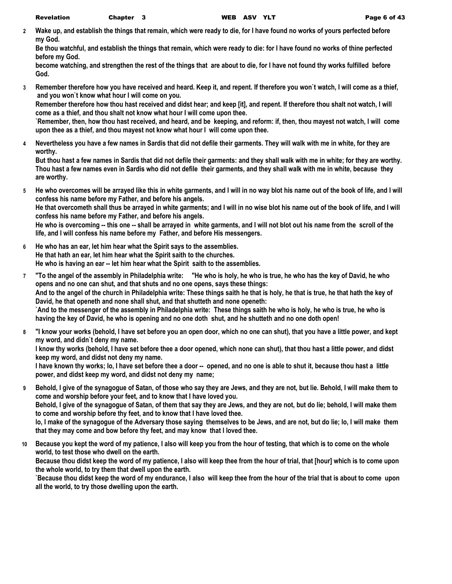**2 Wake up, and establish the things that remain, which were ready to die, for I have found no works of yours perfected before my God.**

**Be thou watchful, and establish the things that remain, which were ready to die: for I have found no works of thine perfected before my God.**

**become watching, and strengthen the rest of the things that are about to die, for I have not found thy works fulfilled before God.**

**3 Remember therefore how you have received and heard. Keep it, and repent. If therefore you won`t watch, I will come as a thief, and you won`t know what hour I will come on you.**

**Remember therefore how thou hast received and didst hear; and keep [it], and repent. If therefore thou shalt not watch, I will come as a thief, and thou shalt not know what hour I will come upon thee.**

**`Remember, then, how thou hast received, and heard, and be keeping, and reform: if, then, thou mayest not watch, I will come upon thee as a thief, and thou mayest not know what hour I will come upon thee.**

**4 Nevertheless you have a few names in Sardis that did not defile their garments. They will walk with me in white, for they are worthy.**

**But thou hast a few names in Sardis that did not defile their garments: and they shall walk with me in white; for they are worthy. Thou hast a few names even in Sardis who did not defile their garments, and they shall walk with me in white, because they are worthy.**

**5 He who overcomes will be arrayed like this in white garments, and I will in no way blot his name out of the book of life, and I will confess his name before my Father, and before his angels.**

**He that overcometh shall thus be arrayed in white garments; and I will in no wise blot his name out of the book of life, and I will confess his name before my Father, and before his angels.**

**He who is overcoming -- this one -- shall be arrayed in white garments, and I will not blot out his name from the scroll of the life, and I will confess his name before my Father, and before His messengers.**

- **6 He who has an ear, let him hear what the Spirit says to the assemblies. He that hath an ear, let him hear what the Spirit saith to the churches. He who is having an ear -- let him hear what the Spirit saith to the assemblies.**
- **7 "To the angel of the assembly in Philadelphia write: "He who is holy, he who is true, he who has the key of David, he who opens and no one can shut, and that shuts and no one opens, says these things: And to the angel of the church in Philadelphia write: These things saith he that is holy, he that is true, he that hath the key of David, he that openeth and none shall shut, and that shutteth and none openeth: `And to the messenger of the assembly in Philadelphia write: These things saith he who is holy, he who is true, he who is having the key of David, he who is opening and no one doth shut, and he shutteth and no one doth open!**
- **8 "I know your works (behold, I have set before you an open door, which no one can shut), that you have a little power, and kept my word, and didn`t deny my name.**

**I know thy works (behold, I have set before thee a door opened, which none can shut), that thou hast a little power, and didst keep my word, and didst not deny my name.**

**I have known thy works; lo, I have set before thee a door -- opened, and no one is able to shut it, because thou hast a little power, and didst keep my word, and didst not deny my name;**

**9 Behold, I give of the synagogue of Satan, of those who say they are Jews, and they are not, but lie. Behold, I will make them to come and worship before your feet, and to know that I have loved you.**

**Behold, I give of the synagogue of Satan, of them that say they are Jews, and they are not, but do lie; behold, I will make them to come and worship before thy feet, and to know that I have loved thee.**

**lo, I make of the synagogue of the Adversary those saying themselves to be Jews, and are not, but do lie; lo, I will make them that they may come and bow before thy feet, and may know that I loved thee.**

**10 Because you kept the word of my patience, I also will keep you from the hour of testing, that which is to come on the whole world, to test those who dwell on the earth.**

**Because thou didst keep the word of my patience, I also will keep thee from the hour of trial, that [hour] which is to come upon the whole world, to try them that dwell upon the earth.**

**`Because thou didst keep the word of my endurance, I also will keep thee from the hour of the trial that is about to come upon all the world, to try those dwelling upon the earth.**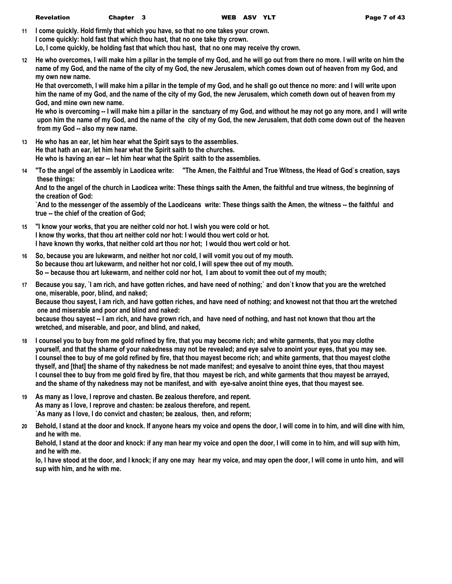**11 I come quickly. Hold firmly that which you have, so that no one takes your crown. I come quickly: hold fast that which thou hast, that no one take thy crown. Lo, I come quickly, be holding fast that which thou hast, that no one may receive thy crown.**

**12 He who overcomes, I will make him a pillar in the temple of my God, and he will go out from there no more. I will write on him the name of my God, and the name of the city of my God, the new Jerusalem, which comes down out of heaven from my God, and my own new name.**

**He that overcometh, I will make him a pillar in the temple of my God, and he shall go out thence no more: and I will write upon him the name of my God, and the name of the city of my God, the new Jerusalem, which cometh down out of heaven from my God, and mine own new name.**

**He who is overcoming -- I will make him a pillar in the sanctuary of my God, and without he may not go any more, and I will write upon him the name of my God, and the name of the city of my God, the new Jerusalem, that doth come down out of the heaven from my God -- also my new name.**

- **13 He who has an ear, let him hear what the Spirit says to the assemblies. He that hath an ear, let him hear what the Spirit saith to the churches. He who is having an ear -- let him hear what the Spirit saith to the assemblies.**
- **14 "To the angel of the assembly in Laodicea write: "The Amen, the Faithful and True Witness, the Head of God`s creation, says these things:**

**And to the angel of the church in Laodicea write: These things saith the Amen, the faithful and true witness, the beginning of the creation of God:**

**`And to the messenger of the assembly of the Laodiceans write: These things saith the Amen, the witness -- the faithful and true -- the chief of the creation of God;**

- **15 "I know your works, that you are neither cold nor hot. I wish you were cold or hot. I know thy works, that thou art neither cold nor hot: I would thou wert cold or hot. I have known thy works, that neither cold art thou nor hot; I would thou wert cold or hot.**
- **16 So, because you are lukewarm, and neither hot nor cold, I will vomit you out of my mouth. So because thou art lukewarm, and neither hot nor cold, I will spew thee out of my mouth. So -- because thou art lukewarm, and neither cold nor hot, I am about to vomit thee out of my mouth;**
- **17 Because you say, `I am rich, and have gotten riches, and have need of nothing;` and don`t know that you are the wretched one, miserable, poor, blind, and naked;**

**Because thou sayest, I am rich, and have gotten riches, and have need of nothing; and knowest not that thou art the wretched one and miserable and poor and blind and naked:**

**because thou sayest -- I am rich, and have grown rich, and have need of nothing, and hast not known that thou art the wretched, and miserable, and poor, and blind, and naked,**

- **18 I counsel you to buy from me gold refined by fire, that you may become rich; and white garments, that you may clothe yourself, and that the shame of your nakedness may not be revealed; and eye salve to anoint your eyes, that you may see. I counsel thee to buy of me gold refined by fire, that thou mayest become rich; and white garments, that thou mayest clothe thyself, and [that] the shame of thy nakedness be not made manifest; and eyesalve to anoint thine eyes, that thou mayest I counsel thee to buy from me gold fired by fire, that thou mayest be rich, and white garments that thou mayest be arrayed, and the shame of thy nakedness may not be manifest, and with eye-salve anoint thine eyes, that thou mayest see.**
- **19 As many as I love, I reprove and chasten. Be zealous therefore, and repent. As many as I love, I reprove and chasten: be zealous therefore, and repent. `As many as I love, I do convict and chasten; be zealous, then, and reform;**
- **20 Behold, I stand at the door and knock. If anyone hears my voice and opens the door, I will come in to him, and will dine with him, and he with me.**

**Behold, I stand at the door and knock: if any man hear my voice and open the door, I will come in to him, and will sup with him, and he with me.**

**lo, I have stood at the door, and I knock; if any one may hear my voice, and may open the door, I will come in unto him, and will sup with him, and he with me.**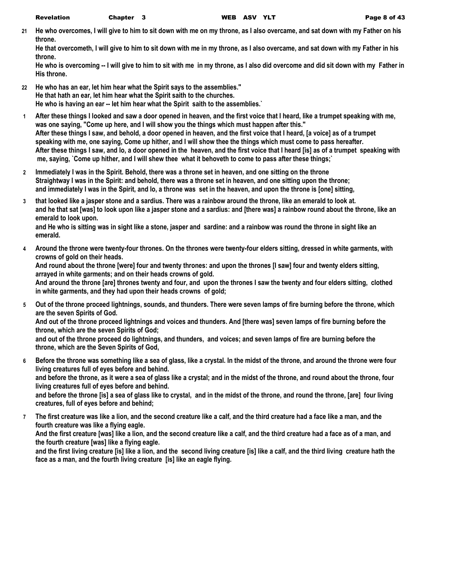**21 He who overcomes, I will give to him to sit down with me on my throne, as I also overcame, and sat down with my Father on his throne.**

**He that overcometh, I will give to him to sit down with me in my throne, as I also overcame, and sat down with my Father in his throne.**

**He who is overcoming -- I will give to him to sit with me in my throne, as I also did overcome and did sit down with my Father in His throne.**

- **22 He who has an ear, let him hear what the Spirit says to the assemblies." He that hath an ear, let him hear what the Spirit saith to the churches. He who is having an ear -- let him hear what the Spirit saith to the assemblies.`**
- **1 After these things I looked and saw a door opened in heaven, and the first voice that I heard, like a trumpet speaking with me, was one saying, "Come up here, and I will show you the things which must happen after this." After these things I saw, and behold, a door opened in heaven, and the first voice that I heard, [a voice] as of a trumpet speaking with me, one saying, Come up hither, and I will show thee the things which must come to pass hereafter. After these things I saw, and lo, a door opened in the heaven, and the first voice that I heard [is] as of a trumpet speaking with me, saying, `Come up hither, and I will shew thee what it behoveth to come to pass after these things;`**
- **2 Immediately I was in the Spirit. Behold, there was a throne set in heaven, and one sitting on the throne Straightway I was in the Spirit: and behold, there was a throne set in heaven, and one sitting upon the throne; and immediately I was in the Spirit, and lo, a throne was set in the heaven, and upon the throne is [one] sitting,**
- **3 that looked like a jasper stone and a sardius. There was a rainbow around the throne, like an emerald to look at. and he that sat [was] to look upon like a jasper stone and a sardius: and [there was] a rainbow round about the throne, like an emerald to look upon.**

**and He who is sitting was in sight like a stone, jasper and sardine: and a rainbow was round the throne in sight like an emerald.**

- **4 Around the throne were twenty-four thrones. On the thrones were twenty-four elders sitting, dressed in white garments, with crowns of gold on their heads. And round about the throne [were] four and twenty thrones: and upon the thrones [I saw] four and twenty elders sitting, arrayed in white garments; and on their heads crowns of gold. And around the throne [are] thrones twenty and four, and upon the thrones I saw the twenty and four elders sitting, clothed in white garments, and they had upon their heads crowns of gold;**
- **5 Out of the throne proceed lightnings, sounds, and thunders. There were seven lamps of fire burning before the throne, which are the seven Spirits of God. And out of the throne proceed lightnings and voices and thunders. And [there was] seven lamps of fire burning before the**

**throne, which are the seven Spirits of God;**

**and out of the throne proceed do lightnings, and thunders, and voices; and seven lamps of fire are burning before the throne, which are the Seven Spirits of God,**

**6 Before the throne was something like a sea of glass, like a crystal. In the midst of the throne, and around the throne were four living creatures full of eyes before and behind. and before the throne, as it were a sea of glass like a crystal; and in the midst of the throne, and round about the throne, four living creatures full of eyes before and behind.**

**and before the throne [is] a sea of glass like to crystal, and in the midst of the throne, and round the throne, [are] four living creatures, full of eyes before and behind;**

**7 The first creature was like a lion, and the second creature like a calf, and the third creature had a face like a man, and the fourth creature was like a flying eagle.**

**And the first creature [was] like a lion, and the second creature like a calf, and the third creature had a face as of a man, and the fourth creature [was] like a flying eagle.**

**and the first living creature [is] like a lion, and the second living creature [is] like a calf, and the third living creature hath the face as a man, and the fourth living creature [is] like an eagle flying.**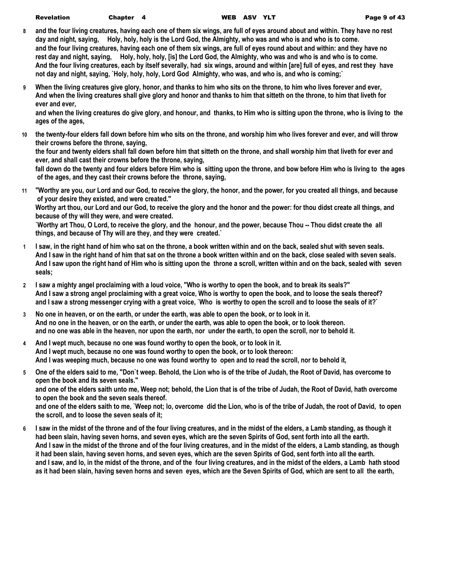| <b>Revelation</b> | <b>Chapter</b> |
|-------------------|----------------|
|-------------------|----------------|

- **8 and the four living creatures, having each one of them six wings, are full of eyes around about and within. They have no rest day and night, saying, Holy, holy, holy is the Lord God, the Almighty, who was and who is and who is to come. and the four living creatures, having each one of them six wings, are full of eyes round about and within: and they have no rest day and night, saying, Holy, holy, holy, [is] the Lord God, the Almighty, who was and who is and who is to come. And the four living creatures, each by itself severally, had six wings, around and within [are] full of eyes, and rest they have not day and night, saying, `Holy, holy, holy, Lord God Almighty, who was, and who is, and who is coming;`**
- **9 When the living creatures give glory, honor, and thanks to him who sits on the throne, to him who lives forever and ever, And when the living creatures shall give glory and honor and thanks to him that sitteth on the throne, to him that liveth for ever and ever,**

**and when the living creatures do give glory, and honour, and thanks, to Him who is sitting upon the throne, who is living to the ages of the ages,**

- **10 the twenty-four elders fall down before him who sits on the throne, and worship him who lives forever and ever, and will throw their crowns before the throne, saying, the four and twenty elders shall fall down before him that sitteth on the throne, and shall worship him that liveth for ever and ever, and shall cast their crowns before the throne, saying, fall down do the twenty and four elders before Him who is sitting upon the throne, and bow before Him who is living to the ages of the ages, and they cast their crowns before the throne, saying,**
- **11 "Worthy are you, our Lord and our God, to receive the glory, the honor, and the power, for you created all things, and because of your desire they existed, and were created." Worthy art thou, our Lord and our God, to receive the glory and the honor and the power: for thou didst create all things, and**

**because of thy will they were, and were created.**

`Worthy art Thou, O Lord, to receive the glory, and the honour, and the power, because Thou -- Thou didst create the all **things, and because of Thy will are they, and they were created.`**

- **1 I saw, in the right hand of him who sat on the throne, a book written within and on the back, sealed shut with seven seals. And I saw in the right hand of him that sat on the throne a book written within and on the back, close sealed with seven seals. And I saw upon the right hand of Him who is sitting upon the throne a scroll, written within and on the back, sealed with seven seals;**
- **2 I saw a mighty angel proclaiming with a loud voice, "Who is worthy to open the book, and to break its seals?" And I saw a strong angel proclaiming with a great voice, Who is worthy to open the book, and to loose the seals thereof? and I saw a strong messenger crying with a great voice, `Who is worthy to open the scroll and to loose the seals of it?`**
- **3 No one in heaven, or on the earth, or under the earth, was able to open the book, or to look in it. And no one in the heaven, or on the earth, or under the earth, was able to open the book, or to look thereon. and no one was able in the heaven, nor upon the earth, nor under the earth, to open the scroll, nor to behold it.**
- **4 And I wept much, because no one was found worthy to open the book, or to look in it. And I wept much, because no one was found worthy to open the book, or to look thereon: And I was weeping much, because no one was found worthy to open and to read the scroll, nor to behold it,**
- **5 One of the elders said to me, "Don`t weep. Behold, the Lion who is of the tribe of Judah, the Root of David, has overcome to open the book and its seven seals." and one of the elders saith unto me, Weep not; behold, the Lion that is of the tribe of Judah, the Root of David, hath overcome to open the book and the seven seals thereof. and one of the elders saith to me, `Weep not; lo, overcome did the Lion, who is of the tribe of Judah, the root of David, to open the scroll, and to loose the seven seals of it;**
- **6 I saw in the midst of the throne and of the four living creatures, and in the midst of the elders, a Lamb standing, as though it had been slain, having seven horns, and seven eyes, which are the seven Spirits of God, sent forth into all the earth. And I saw in the midst of the throne and of the four living creatures, and in the midst of the elders, a Lamb standing, as though it had been slain, having seven horns, and seven eyes, which are the seven Spirits of God, sent forth into all the earth. and I saw, and lo, in the midst of the throne, and of the four living creatures, and in the midst of the elders, a Lamb hath stood as it had been slain, having seven horns and seven eyes, which are the Seven Spirits of God, which are sent to all the earth,**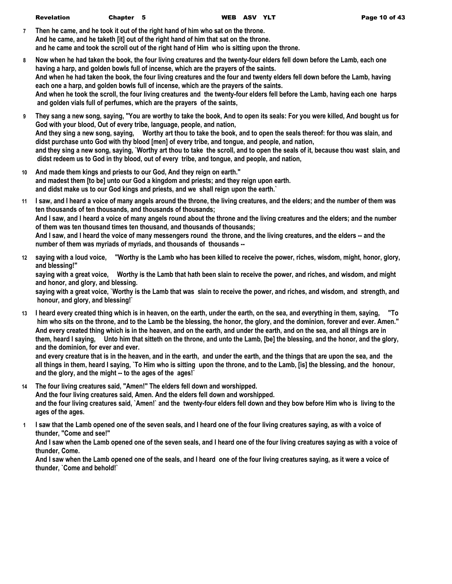| Revelation | Chapter 5 | WEB ASV YLT | Page 10 of 43 |
|------------|-----------|-------------|---------------|

**7 Then he came, and he took it out of the right hand of him who sat on the throne. And he came, and he taketh [it] out of the right hand of him that sat on the throne. and he came and took the scroll out of the right hand of Him who is sitting upon the throne.**

- **8 Now when he had taken the book, the four living creatures and the twenty-four elders fell down before the Lamb, each one having a harp, and golden bowls full of incense, which are the prayers of the saints. And when he had taken the book, the four living creatures and the four and twenty elders fell down before the Lamb, having each one a harp, and golden bowls full of incense, which are the prayers of the saints. And when he took the scroll, the four living creatures and the twenty-four elders fell before the Lamb, having each one harps and golden vials full of perfumes, which are the prayers of the saints,**
- **9 They sang a new song, saying, "You are worthy to take the book, And to open its seals: For you were killed, And bought us for God with your blood, Out of every tribe, language, people, and nation, And they sing a new song, saying, Worthy art thou to take the book, and to open the seals thereof: for thou was slain, and didst purchase unto God with thy blood [men] of every tribe, and tongue, and people, and nation, and they sing a new song, saying, `Worthy art thou to take the scroll, and to open the seals of it, because thou wast slain, and didst redeem us to God in thy blood, out of every tribe, and tongue, and people, and nation,**
- **10 And made them kings and priests to our God, And they reign on earth." and madest them [to be] unto our God a kingdom and priests; and they reign upon earth. and didst make us to our God kings and priests, and we shall reign upon the earth.`**
- **11 I saw, and I heard a voice of many angels around the throne, the living creatures, and the elders; and the number of them was ten thousands of ten thousands, and thousands of thousands; And I saw, and I heard a voice of many angels round about the throne and the living creatures and the elders; and the number of them was ten thousand times ten thousand, and thousands of thousands; And I saw, and I heard the voice of many messengers round the throne, and the living creatures, and the elders -- and the number of them was myriads of myriads, and thousands of thousands --**
- **12 saying with a loud voice, "Worthy is the Lamb who has been killed to receive the power, riches, wisdom, might, honor, glory, and blessing!"**

**saying with a great voice, Worthy is the Lamb that hath been slain to receive the power, and riches, and wisdom, and might and honor, and glory, and blessing.**

**saying with a great voice, `Worthy is the Lamb that was slain to receive the power, and riches, and wisdom, and strength, and honour, and glory, and blessing!`**

**13 I heard every created thing which is in heaven, on the earth, under the earth, on the sea, and everything in them, saying, "To him who sits on the throne, and to the Lamb be the blessing, the honor, the glory, and the dominion, forever and ever. Amen." And every created thing which is in the heaven, and on the earth, and under the earth, and on the sea, and all things are in them, heard I saying, Unto him that sitteth on the throne, and unto the Lamb, [be] the blessing, and the honor, and the glory, and the dominion, for ever and ever.**

**and every creature that is in the heaven, and in the earth, and under the earth, and the things that are upon the sea, and the all things in them, heard I saying, `To Him who is sitting upon the throne, and to the Lamb, [is] the blessing, and the honour, and the glory, and the might -- to the ages of the ages!`**

**14 The four living creatures said, "Amen!" The elders fell down and worshipped.**

**And the four living creatures said, Amen. And the elders fell down and worshipped. and the four living creatures said, `Amen!` and the twenty-four elders fell down and they bow before Him who is living to the ages of the ages.**

**1 I saw that the Lamb opened one of the seven seals, and I heard one of the four living creatures saying, as with a voice of thunder, "Come and see!"**

**And I saw when the Lamb opened one of the seven seals, and I heard one of the four living creatures saying as with a voice of thunder, Come.**

**And I saw when the Lamb opened one of the seals, and I heard one of the four living creatures saying, as it were a voice of thunder, `Come and behold!`**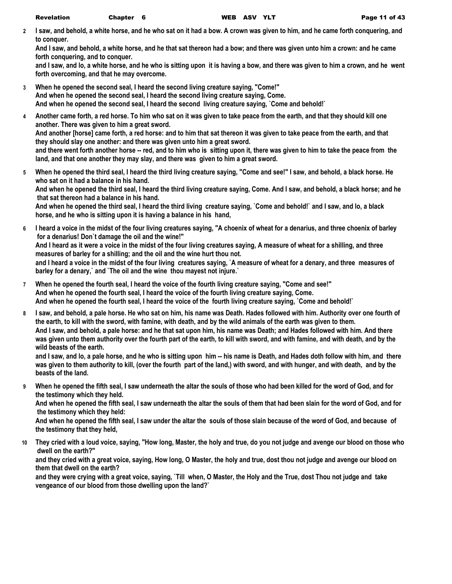**2 I saw, and behold, a white horse, and he who sat on it had a bow. A crown was given to him, and he came forth conquering, and to conquer.**

**And I saw, and behold, a white horse, and he that sat thereon had a bow; and there was given unto him a crown: and he came forth conquering, and to conquer.**

**and I saw, and lo, a white horse, and he who is sitting upon it is having a bow, and there was given to him a crown, and he went forth overcoming, and that he may overcome.**

- **3 When he opened the second seal, I heard the second living creature saying, "Come!" And when he opened the second seal, I heard the second living creature saying, Come. And when he opened the second seal, I heard the second living creature saying, `Come and behold!`**
- **4 Another came forth, a red horse. To him who sat on it was given to take peace from the earth, and that they should kill one another. There was given to him a great sword. And another [horse] came forth, a red horse: and to him that sat thereon it was given to take peace from the earth, and that they should slay one another: and there was given unto him a great sword. and there went forth another horse -- red, and to him who is sitting upon it, there was given to him to take the peace from the land, and that one another they may slay, and there was given to him a great sword.**
- **5 When he opened the third seal, I heard the third living creature saying, "Come and see!" I saw, and behold, a black horse. He who sat on it had a balance in his hand. And when he opened the third seal, I heard the third living creature saying, Come. And I saw, and behold, a black horse; and he that sat thereon had a balance in his hand. And when he opened the third seal, I heard the third living creature saying, `Come and behold!` and I saw, and lo, a black horse, and he who is sitting upon it is having a balance in his hand,**
- **6 I heard a voice in the midst of the four living creatures saying, "A choenix of wheat for a denarius, and three choenix of barley for a denarius! Don`t damage the oil and the wine!" And I heard as it were a voice in the midst of the four living creatures saying, A measure of wheat for a shilling, and three measures of barley for a shilling; and the oil and the wine hurt thou not. and I heard a voice in the midst of the four living creatures saying, `A measure of wheat for a denary, and three measures of barley for a denary,` and `The oil and the wine thou mayest not injure.`**
- **7 When he opened the fourth seal, I heard the voice of the fourth living creature saying, "Come and see!" And when he opened the fourth seal, I heard the voice of the fourth living creature saying, Come. And when he opened the fourth seal, I heard the voice of the fourth living creature saying, `Come and behold!`**
- **8 I saw, and behold, a pale horse. He who sat on him, his name was Death. Hades followed with him. Authority over one fourth of the earth, to kill with the sword, with famine, with death, and by the wild animals of the earth was given to them. And I saw, and behold, a pale horse: and he that sat upon him, his name was Death; and Hades followed with him. And there was given unto them authority over the fourth part of the earth, to kill with sword, and with famine, and with death, and by the wild beasts of the earth.**

**and I saw, and lo, a pale horse, and he who is sitting upon him -- his name is Death, and Hades doth follow with him, and there was given to them authority to kill, (over the fourth part of the land,) with sword, and with hunger, and with death, and by the beasts of the land.**

**9 When he opened the fifth seal, I saw underneath the altar the souls of those who had been killed for the word of God, and for the testimony which they held.**

**And when he opened the fifth seal, I saw underneath the altar the souls of them that had been slain for the word of God, and for the testimony which they held:**

**And when he opened the fifth seal, I saw under the altar the souls of those slain because of the word of God, and because of the testimony that they held,**

**10 They cried with a loud voice, saying, "How long, Master, the holy and true, do you not judge and avenge our blood on those who dwell on the earth?"**

**and they cried with a great voice, saying, How long, O Master, the holy and true, dost thou not judge and avenge our blood on them that dwell on the earth?**

**and they were crying with a great voice, saying, `Till when, O Master, the Holy and the True, dost Thou not judge and take vengeance of our blood from those dwelling upon the land?`**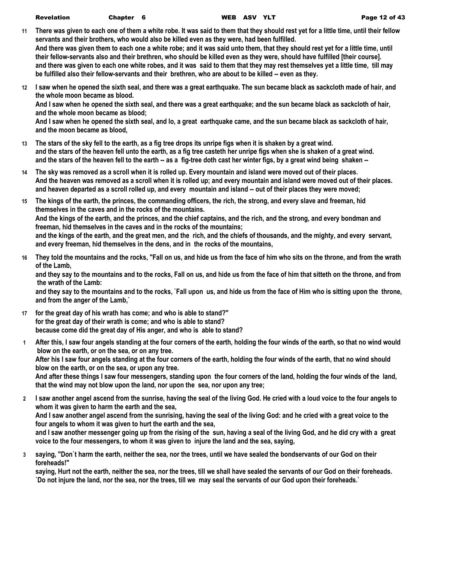| <b>Revelation</b> | Ch <sub>i</sub> |
|-------------------|-----------------|
|                   |                 |

- **11 There was given to each one of them a white robe. It was said to them that they should rest yet for a little time, until their fellow servants and their brothers, who would also be killed even as they were, had been fulfilled. And there was given them to each one a white robe; and it was said unto them, that they should rest yet for a little time, until their fellow-servants also and their brethren, who should be killed even as they were, should have fulfilled [their course]. and there was given to each one white robes, and it was said to them that they may rest themselves yet a little time, till may be fulfilled also their fellow-servants and their brethren, who are about to be killed -- even as they.**
- **12 I saw when he opened the sixth seal, and there was a great earthquake. The sun became black as sackcloth made of hair, and the whole moon became as blood. And I saw when he opened the sixth seal, and there was a great earthquake; and the sun became black as sackcloth of hair,**

**and the whole moon became as blood; And I saw when he opened the sixth seal, and lo, a great earthquake came, and the sun became black as sackcloth of hair,** 

**and the moon became as blood,**

- **13 The stars of the sky fell to the earth, as a fig tree drops its unripe figs when it is shaken by a great wind. and the stars of the heaven fell unto the earth, as a fig tree casteth her unripe figs when she is shaken of a great wind. and the stars of the heaven fell to the earth -- as a fig-tree doth cast her winter figs, by a great wind being shaken --**
- **14 The sky was removed as a scroll when it is rolled up. Every mountain and island were moved out of their places. And the heaven was removed as a scroll when it is rolled up; and every mountain and island were moved out of their places. and heaven departed as a scroll rolled up, and every mountain and island -- out of their places they were moved;**
- **15 The kings of the earth, the princes, the commanding officers, the rich, the strong, and every slave and freeman, hid themselves in the caves and in the rocks of the mountains. And the kings of the earth, and the princes, and the chief captains, and the rich, and the strong, and every bondman and freeman, hid themselves in the caves and in the rocks of the mountains; and the kings of the earth, and the great men, and the rich, and the chiefs of thousands, and the mighty, and every servant, and every freeman, hid themselves in the dens, and in the rocks of the mountains,**
- **16 They told the mountains and the rocks, "Fall on us, and hide us from the face of him who sits on the throne, and from the wrath of the Lamb,**

**and they say to the mountains and to the rocks, Fall on us, and hide us from the face of him that sitteth on the throne, and from the wrath of the Lamb:**

**and they say to the mountains and to the rocks, `Fall upon us, and hide us from the face of Him who is sitting upon the throne, and from the anger of the Lamb,`**

- **17 for the great day of his wrath has come; and who is able to stand?" for the great day of their wrath is come; and who is able to stand? because come did the great day of His anger, and who is able to stand?**
- **1 After this, I saw four angels standing at the four corners of the earth, holding the four winds of the earth, so that no wind would blow on the earth, or on the sea, or on any tree. After his I saw four angels standing at the four corners of the earth, holding the four winds of the earth, that no wind should blow on the earth, or on the sea, or upon any tree.**

**And after these things I saw four messengers, standing upon the four corners of the land, holding the four winds of the land, that the wind may not blow upon the land, nor upon the sea, nor upon any tree;**

**2 I saw another angel ascend from the sunrise, having the seal of the living God. He cried with a loud voice to the four angels to whom it was given to harm the earth and the sea,**

**And I saw another angel ascend from the sunrising, having the seal of the living God: and he cried with a great voice to the four angels to whom it was given to hurt the earth and the sea,**

**and I saw another messenger going up from the rising of the sun, having a seal of the living God, and he did cry with a great voice to the four messengers, to whom it was given to injure the land and the sea, saying,**

**3 saying, "Don`t harm the earth, neither the sea, nor the trees, until we have sealed the bondservants of our God on their foreheads!"**

**saying, Hurt not the earth, neither the sea, nor the trees, till we shall have sealed the servants of our God on their foreheads. `Do not injure the land, nor the sea, nor the trees, till we may seal the servants of our God upon their foreheads.`**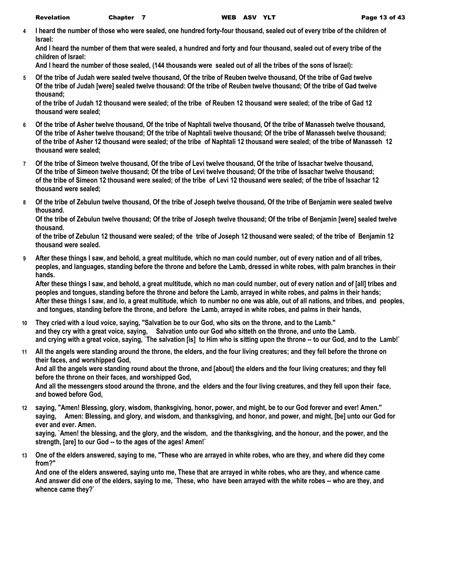**4 I heard the number of those who were sealed, one hundred forty-four thousand, sealed out of every tribe of the children of Israel:**

**And I heard the number of them that were sealed, a hundred and forty and four thousand, sealed out of every tribe of the children of Israel:**

**And I heard the number of those sealed, (144 thousands were sealed out of all the tribes of the sons of Israel):**

**5 Of the tribe of Judah were sealed twelve thousand, Of the tribe of Reuben twelve thousand, Of the tribe of Gad twelve Of the tribe of Judah [were] sealed twelve thousand: Of the tribe of Reuben twelve thousand; Of the tribe of Gad twelve thousand;**

**of the tribe of Judah 12 thousand were sealed; of the tribe of Reuben 12 thousand were sealed; of the tribe of Gad 12 thousand were sealed;**

- **6 Of the tribe of Asher twelve thousand, Of the tribe of Naphtali twelve thousand, Of the tribe of Manasseh twelve thousand, Of the tribe of Asher twelve thousand; Of the tribe of Naphtali twelve thousand; Of the tribe of Manasseh twelve thousand; of the tribe of Asher 12 thousand were sealed; of the tribe of Naphtali 12 thousand were sealed; of the tribe of Manasseh 12 thousand were sealed;**
- **7 Of the tribe of Simeon twelve thousand, Of the tribe of Levi twelve thousand, Of the tribe of Issachar twelve thousand, Of the tribe of Simeon twelve thousand; Of the tribe of Levi twelve thousand; Of the tribe of Issachar twelve thousand; of the tribe of Simeon 12 thousand were sealed; of the tribe of Levi 12 thousand were sealed; of the tribe of Issachar 12 thousand were sealed;**
- **8 Of the tribe of Zebulun twelve thousand, Of the tribe of Joseph twelve thousand, Of the tribe of Benjamin were sealed twelve thousand.**

**Of the tribe of Zebulun twelve thousand; Of the tribe of Joseph twelve thousand; Of the tribe of Benjamin [were] sealed twelve thousand.**

**of the tribe of Zebulun 12 thousand were sealed; of the tribe of Joseph 12 thousand were sealed; of the tribe of Benjamin 12 thousand were sealed.**

**9 After these things I saw, and behold, a great multitude, which no man could number, out of every nation and of all tribes, peoples, and languages, standing before the throne and before the Lamb, dressed in white robes, with palm branches in their hands.**

**After these things I saw, and behold, a great multitude, which no man could number, out of every nation and of [all] tribes and peoples and tongues, standing before the throne and before the Lamb, arrayed in white robes, and palms in their hands; After these things I saw, and lo, a great multitude, which to number no one was able, out of all nations, and tribes, and peoples, and tongues, standing before the throne, and before the Lamb, arrayed in white robes, and palms in their hands,**

- **10 They cried with a loud voice, saying, "Salvation be to our God, who sits on the throne, and to the Lamb." and they cry with a great voice, saying, Salvation unto our God who sitteth on the throne, and unto the Lamb. and crying with a great voice, saying, `The salvation [is] to Him who is sitting upon the throne -- to our God, and to the Lamb!`**
- **11 All the angels were standing around the throne, the elders, and the four living creatures; and they fell before the throne on their faces, and worshipped God, And all the angels were standing round about the throne, and [about] the elders and the four living creatures; and they fell before the throne on their faces, and worshipped God, And all the messengers stood around the throne, and the elders and the four living creatures, and they fell upon their face,**

**and bowed before God,**

**12 saying, "Amen! Blessing, glory, wisdom, thanksgiving, honor, power, and might, be to our God forever and ever! Amen." saying, Amen: Blessing, and glory, and wisdom, and thanksgiving, and honor, and power, and might, [be] unto our God for ever and ever. Amen.**

**saying, `Amen! the blessing, and the glory, and the wisdom, and the thanksgiving, and the honour, and the power, and the strength, [are] to our God -- to the ages of the ages! Amen!`**

**13 One of the elders answered, saying to me, "These who are arrayed in white robes, who are they, and where did they come from?"**

**And one of the elders answered, saying unto me, These that are arrayed in white robes, who are they, and whence came And answer did one of the elders, saying to me, `These, who have been arrayed with the white robes -- who are they, and whence came they?`**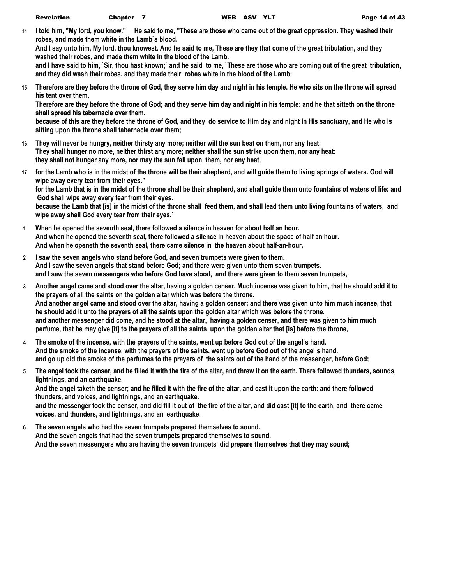**14 I told him, "My lord, you know." He said to me, "These are those who came out of the great oppression. They washed their robes, and made them white in the Lamb`s blood.**

**And I say unto him, My lord, thou knowest. And he said to me, These are they that come of the great tribulation, and they washed their robes, and made them white in the blood of the Lamb.**

**and I have said to him, `Sir, thou hast known;` and he said to me, `These are those who are coming out of the great tribulation, and they did wash their robes, and they made their robes white in the blood of the Lamb;**

**15 Therefore are they before the throne of God, they serve him day and night in his temple. He who sits on the throne will spread his tent over them.**

**Therefore are they before the throne of God; and they serve him day and night in his temple: and he that sitteth on the throne shall spread his tabernacle over them.**

**because of this are they before the throne of God, and they do service to Him day and night in His sanctuary, and He who is sitting upon the throne shall tabernacle over them;**

- **16 They will never be hungry, neither thirsty any more; neither will the sun beat on them, nor any heat; They shall hunger no more, neither thirst any more; neither shall the sun strike upon them, nor any heat: they shall not hunger any more, nor may the sun fall upon them, nor any heat,**
- **17 for the Lamb who is in the midst of the throne will be their shepherd, and will guide them to living springs of waters. God will wipe away every tear from their eyes." for the Lamb that is in the midst of the throne shall be their shepherd, and shall guide them unto fountains of waters of life: and God shall wipe away every tear from their eyes. because the Lamb that [is] in the midst of the throne shall feed them, and shall lead them unto living fountains of waters, and wipe away shall God every tear from their eyes.`**
- **1 When he opened the seventh seal, there followed a silence in heaven for about half an hour. And when he opened the seventh seal, there followed a silence in heaven about the space of half an hour. And when he openeth the seventh seal, there came silence in the heaven about half-an-hour,**
- **2 I saw the seven angels who stand before God, and seven trumpets were given to them. And I saw the seven angels that stand before God; and there were given unto them seven trumpets. and I saw the seven messengers who before God have stood, and there were given to them seven trumpets,**
- **3 Another angel came and stood over the altar, having a golden censer. Much incense was given to him, that he should add it to the prayers of all the saints on the golden altar which was before the throne. And another angel came and stood over the altar, having a golden censer; and there was given unto him much incense, that he should add it unto the prayers of all the saints upon the golden altar which was before the throne. and another messenger did come, and he stood at the altar, having a golden censer, and there was given to him much perfume, that he may give [it] to the prayers of all the saints upon the golden altar that [is] before the throne,**
- **4 The smoke of the incense, with the prayers of the saints, went up before God out of the angel`s hand. And the smoke of the incense, with the prayers of the saints, went up before God out of the angel`s hand. and go up did the smoke of the perfumes to the prayers of the saints out of the hand of the messenger, before God;**
- **5 The angel took the censer, and he filled it with the fire of the altar, and threw it on the earth. There followed thunders, sounds, lightnings, and an earthquake. And the angel taketh the censer; and he filled it with the fire of the altar, and cast it upon the earth: and there followed thunders, and voices, and lightnings, and an earthquake.**

**and the messenger took the censer, and did fill it out of the fire of the altar, and did cast [it] to the earth, and there came voices, and thunders, and lightnings, and an earthquake.**

**6 The seven angels who had the seven trumpets prepared themselves to sound. And the seven angels that had the seven trumpets prepared themselves to sound. And the seven messengers who are having the seven trumpets did prepare themselves that they may sound;**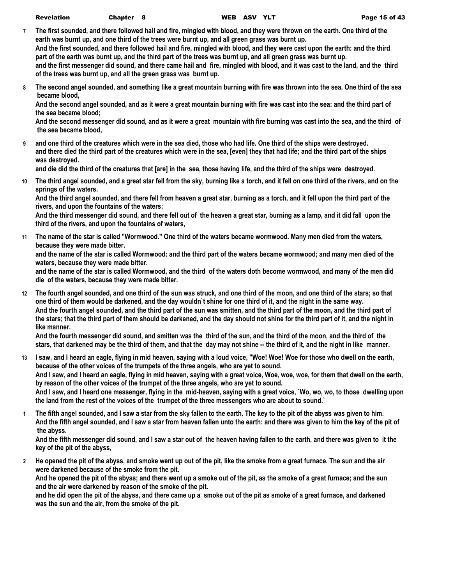- **7 The first sounded, and there followed hail and fire, mingled with blood, and they were thrown on the earth. One third of the earth was burnt up, and one third of the trees were burnt up, and all green grass was burnt up. And the first sounded, and there followed hail and fire, mingled with blood, and they were cast upon the earth: and the third part of the earth was burnt up, and the third part of the trees was burnt up, and all green grass was burnt up. and the first messenger did sound, and there came hail and fire, mingled with blood, and it was cast to the land, and the third of the trees was burnt up, and all the green grass was burnt up.**
- **8 The second angel sounded, and something like a great mountain burning with fire was thrown into the sea. One third of the sea became blood,**

**And the second angel sounded, and as it were a great mountain burning with fire was cast into the sea: and the third part of the sea became blood;**

**And the second messenger did sound, and as it were a great mountain with fire burning was cast into the sea, and the third of the sea became blood,**

**9 and one third of the creatures which were in the sea died, those who had life. One third of the ships were destroyed. and there died the third part of the creatures which were in the sea, [even] they that had life; and the third part of the ships was destroyed.**

**and die did the third of the creatures that [are] in the sea, those having life, and the third of the ships were destroyed.**

**10 The third angel sounded, and a great star fell from the sky, burning like a torch, and it fell on one third of the rivers, and on the springs of the waters.**

**And the third angel sounded, and there fell from heaven a great star, burning as a torch, and it fell upon the third part of the rivers, and upon the fountains of the waters;**

**And the third messenger did sound, and there fell out of the heaven a great star, burning as a lamp, and it did fall upon the third of the rivers, and upon the fountains of waters,**

**11 The name of the star is called "Wormwood." One third of the waters became wormwood. Many men died from the waters, because they were made bitter.**

**and the name of the star is called Wormwood: and the third part of the waters became wormwood; and many men died of the waters, because they were made bitter.**

**and the name of the star is called Wormwood, and the third of the waters doth become wormwood, and many of the men did die of the waters, because they were made bitter.**

**12 The fourth angel sounded, and one third of the sun was struck, and one third of the moon, and one third of the stars; so that one third of them would be darkened, and the day wouldn`t shine for one third of it, and the night in the same way. And the fourth angel sounded, and the third part of the sun was smitten, and the third part of the moon, and the third part of the stars; that the third part of them should be darkened, and the day should not shine for the third part of it, and the night in like manner.**

**And the fourth messenger did sound, and smitten was the third of the sun, and the third of the moon, and the third of the stars, that darkened may be the third of them, and that the day may not shine -- the third of it, and the night in like manner.**

**13 I saw, and I heard an eagle, flying in mid heaven, saying with a loud voice, "Woe! Woe! Woe for those who dwell on the earth, because of the other voices of the trumpets of the three angels, who are yet to sound. And I saw, and I heard an eagle, flying in mid heaven, saying with a great voice, Woe, woe, woe, for them that dwell on the earth, by reason of the other voices of the trumpet of the three angels, who are yet to sound.**

**And I saw, and I heard one messenger, flying in the mid-heaven, saying with a great voice, `Wo, wo, wo, to those dwelling upon the land from the rest of the voices of the trumpet of the three messengers who are about to sound.`**

**1 The fifth angel sounded, and I saw a star from the sky fallen to the earth. The key to the pit of the abyss was given to him. And the fifth angel sounded, and I saw a star from heaven fallen unto the earth: and there was given to him the key of the pit of the abyss.**

**And the fifth messenger did sound, and I saw a star out of the heaven having fallen to the earth, and there was given to it the key of the pit of the abyss,**

**2 He opened the pit of the abyss, and smoke went up out of the pit, like the smoke from a great furnace. The sun and the air were darkened because of the smoke from the pit.**

**And he opened the pit of the abyss; and there went up a smoke out of the pit, as the smoke of a great furnace; and the sun and the air were darkened by reason of the smoke of the pit.**

**and he did open the pit of the abyss, and there came up a smoke out of the pit as smoke of a great furnace, and darkened was the sun and the air, from the smoke of the pit.**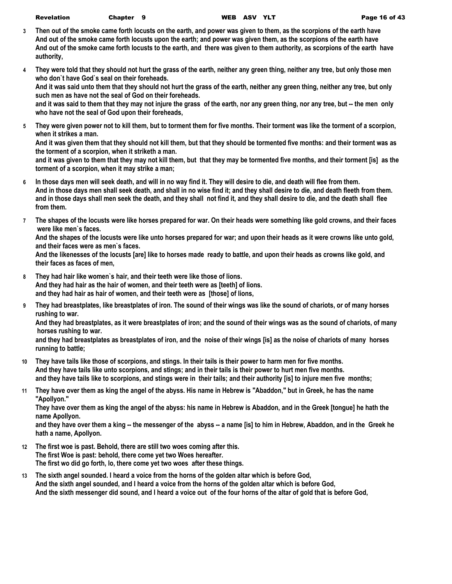| <b>Revelation</b> | Chapter 9 |  |
|-------------------|-----------|--|
|-------------------|-----------|--|

- **3 Then out of the smoke came forth locusts on the earth, and power was given to them, as the scorpions of the earth have And out of the smoke came forth locusts upon the earth; and power was given them, as the scorpions of the earth have And out of the smoke came forth locusts to the earth, and there was given to them authority, as scorpions of the earth have authority,**
- **4 They were told that they should not hurt the grass of the earth, neither any green thing, neither any tree, but only those men who don`t have God`s seal on their foreheads.**

**And it was said unto them that they should not hurt the grass of the earth, neither any green thing, neither any tree, but only such men as have not the seal of God on their foreheads.**

**and it was said to them that they may not injure the grass of the earth, nor any green thing, nor any tree, but -- the men only who have not the seal of God upon their foreheads,**

**5 They were given power not to kill them, but to torment them for five months. Their torment was like the torment of a scorpion, when it strikes a man.**

**And it was given them that they should not kill them, but that they should be tormented five months: and their torment was as the torment of a scorpion, when it striketh a man.**

**and it was given to them that they may not kill them, but that they may be tormented five months, and their torment [is] as the torment of a scorpion, when it may strike a man;**

- **6 In those days men will seek death, and will in no way find it. They will desire to die, and death will flee from them. And in those days men shall seek death, and shall in no wise find it; and they shall desire to die, and death fleeth from them. and in those days shall men seek the death, and they shall not find it, and they shall desire to die, and the death shall flee from them.**
- **7 The shapes of the locusts were like horses prepared for war. On their heads were something like gold crowns, and their faces were like men`s faces.**

**And the shapes of the locusts were like unto horses prepared for war; and upon their heads as it were crowns like unto gold, and their faces were as men`s faces.**

**And the likenesses of the locusts [are] like to horses made ready to battle, and upon their heads as crowns like gold, and their faces as faces of men,**

- **8 They had hair like women`s hair, and their teeth were like those of lions. And they had hair as the hair of women, and their teeth were as [teeth] of lions. and they had hair as hair of women, and their teeth were as [those] of lions,**
- **9 They had breastplates, like breastplates of iron. The sound of their wings was like the sound of chariots, or of many horses rushing to war.**

**And they had breastplates, as it were breastplates of iron; and the sound of their wings was as the sound of chariots, of many horses rushing to war.**

**and they had breastplates as breastplates of iron, and the noise of their wings [is] as the noise of chariots of many horses running to battle;**

- **10 They have tails like those of scorpions, and stings. In their tails is their power to harm men for five months. And they have tails like unto scorpions, and stings; and in their tails is their power to hurt men five months. and they have tails like to scorpions, and stings were in their tails; and their authority [is] to injure men five months;**
- **11 They have over them as king the angel of the abyss. His name in Hebrew is "Abaddon," but in Greek, he has the name "Apollyon."**

**They have over them as king the angel of the abyss: his name in Hebrew is Abaddon, and in the Greek [tongue] he hath the name Apollyon.**

**and they have over them a king -- the messenger of the abyss -- a name [is] to him in Hebrew, Abaddon, and in the Greek he hath a name, Apollyon.**

- **12 The first woe is past. Behold, there are still two woes coming after this. The first Woe is past: behold, there come yet two Woes hereafter. The first wo did go forth, lo, there come yet two woes after these things.**
- **13 The sixth angel sounded. I heard a voice from the horns of the golden altar which is before God, And the sixth angel sounded, and I heard a voice from the horns of the golden altar which is before God, And the sixth messenger did sound, and I heard a voice out of the four horns of the altar of gold that is before God,**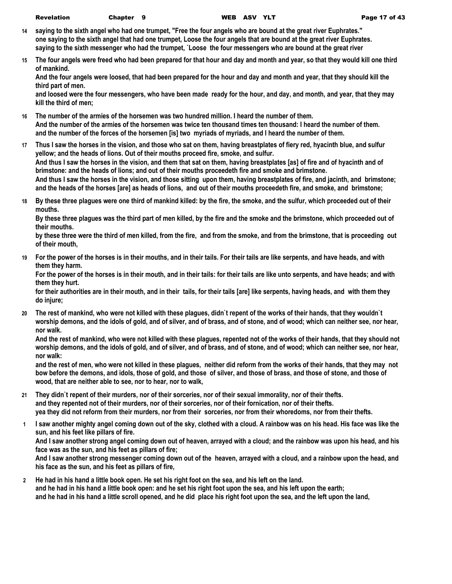- **14 saying to the sixth angel who had one trumpet, "Free the four angels who are bound at the great river Euphrates." one saying to the sixth angel that had one trumpet, Loose the four angels that are bound at the great river Euphrates. saying to the sixth messenger who had the trumpet, `Loose the four messengers who are bound at the great river**
- **15 The four angels were freed who had been prepared for that hour and day and month and year, so that they would kill one third of mankind.**

**And the four angels were loosed, that had been prepared for the hour and day and month and year, that they should kill the third part of men.**

**and loosed were the four messengers, who have been made ready for the hour, and day, and month, and year, that they may kill the third of men;**

- **16 The number of the armies of the horsemen was two hundred million. I heard the number of them. And the number of the armies of the horsemen was twice ten thousand times ten thousand: I heard the number of them. and the number of the forces of the horsemen [is] two myriads of myriads, and I heard the number of them.**
- **17 Thus I saw the horses in the vision, and those who sat on them, having breastplates of fiery red, hyacinth blue, and sulfur yellow; and the heads of lions. Out of their mouths proceed fire, smoke, and sulfur. And thus I saw the horses in the vision, and them that sat on them, having breastplates [as] of fire and of hyacinth and of brimstone: and the heads of lions; and out of their mouths proceedeth fire and smoke and brimstone. And thus I saw the horses in the vision, and those sitting upon them, having breastplates of fire, and jacinth, and brimstone; and the heads of the horses [are] as heads of lions, and out of their mouths proceedeth fire, and smoke, and brimstone;**
- **18 By these three plagues were one third of mankind killed: by the fire, the smoke, and the sulfur, which proceeded out of their mouths.**

**By these three plagues was the third part of men killed, by the fire and the smoke and the brimstone, which proceeded out of their mouths.**

**by these three were the third of men killed, from the fire, and from the smoke, and from the brimstone, that is proceeding out of their mouth,**

**19 For the power of the horses is in their mouths, and in their tails. For their tails are like serpents, and have heads, and with them they harm.**

**For the power of the horses is in their mouth, and in their tails: for their tails are like unto serpents, and have heads; and with them they hurt.**

**for their authorities are in their mouth, and in their tails, for their tails [are] like serpents, having heads, and with them they do injure;**

**20 The rest of mankind, who were not killed with these plagues, didn`t repent of the works of their hands, that they wouldn`t worship demons, and the idols of gold, and of silver, and of brass, and of stone, and of wood; which can neither see, nor hear, nor walk.**

**And the rest of mankind, who were not killed with these plagues, repented not of the works of their hands, that they should not worship demons, and the idols of gold, and of silver, and of brass, and of stone, and of wood; which can neither see, nor hear, nor walk:**

**and the rest of men, who were not killed in these plagues, neither did reform from the works of their hands, that they may not bow before the demons, and idols, those of gold, and those of silver, and those of brass, and those of stone, and those of wood, that are neither able to see, nor to hear, nor to walk,**

- **21 They didn`t repent of their murders, nor of their sorceries, nor of their sexual immorality, nor of their thefts. and they repented not of their murders, nor of their sorceries, nor of their fornication, nor of their thefts. yea they did not reform from their murders, nor from their sorceries, nor from their whoredoms, nor from their thefts.**
- **1 I saw another mighty angel coming down out of the sky, clothed with a cloud. A rainbow was on his head. His face was like the sun, and his feet like pillars of fire.**

**And I saw another strong angel coming down out of heaven, arrayed with a cloud; and the rainbow was upon his head, and his face was as the sun, and his feet as pillars of fire;**

**And I saw another strong messenger coming down out of the heaven, arrayed with a cloud, and a rainbow upon the head, and his face as the sun, and his feet as pillars of fire,**

**2 He had in his hand a little book open. He set his right foot on the sea, and his left on the land. and he had in his hand a little book open: and he set his right foot upon the sea, and his left upon the earth; and he had in his hand a little scroll opened, and he did place his right foot upon the sea, and the left upon the land,**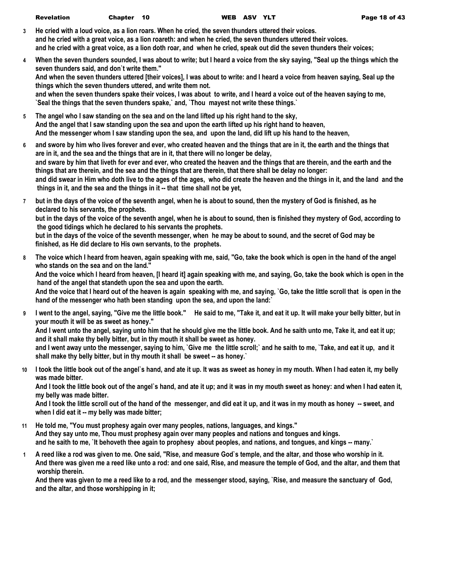| <b>Revelation</b> | Chapter 10 |  |
|-------------------|------------|--|
|-------------------|------------|--|

**finished, as He did declare to His own servants, to the prophets.**

- **3 He cried with a loud voice, as a lion roars. When he cried, the seven thunders uttered their voices. and he cried with a great voice, as a lion roareth: and when he cried, the seven thunders uttered their voices. and he cried with a great voice, as a lion doth roar, and when he cried, speak out did the seven thunders their voices;**
- **4 When the seven thunders sounded, I was about to write; but I heard a voice from the sky saying, "Seal up the things which the seven thunders said, and don`t write them." And when the seven thunders uttered [their voices], I was about to write: and I heard a voice from heaven saying, Seal up the things which the seven thunders uttered, and write them not. and when the seven thunders spake their voices, I was about to write, and I heard a voice out of the heaven saying to me, `Seal the things that the seven thunders spake,` and, `Thou mayest not write these things.`**
- **5 The angel who I saw standing on the sea and on the land lifted up his right hand to the sky, And the angel that I saw standing upon the sea and upon the earth lifted up his right hand to heaven, And the messenger whom I saw standing upon the sea, and upon the land, did lift up his hand to the heaven,**
- **6 and swore by him who lives forever and ever, who created heaven and the things that are in it, the earth and the things that are in it, and the sea and the things that are in it, that there will no longer be delay, and sware by him that liveth for ever and ever, who created the heaven and the things that are therein, and the earth and the things that are therein, and the sea and the things that are therein, that there shall be delay no longer: and did swear in Him who doth live to the ages of the ages, who did create the heaven and the things in it, and the land and the things in it, and the sea and the things in it -- that time shall not be yet,**
- **7 but in the days of the voice of the seventh angel, when he is about to sound, then the mystery of God is finished, as he declared to his servants, the prophets. but in the days of the voice of the seventh angel, when he is about to sound, then is finished they mystery of God, according to the good tidings which he declared to his servants the prophets. but in the days of the voice of the seventh messenger, when he may be about to sound, and the secret of God may be**
- **8 The voice which I heard from heaven, again speaking with me, said, "Go, take the book which is open in the hand of the angel who stands on the sea and on the land." And the voice which I heard from heaven, [I heard it] again speaking with me, and saying, Go, take the book which is open in the hand of the angel that standeth upon the sea and upon the earth. And the voice that I heard out of the heaven is again speaking with me, and saying, `Go, take the little scroll that is open in the hand of the messenger who hath been standing upon the sea, and upon the land:`**
- **9 I went to the angel, saying, "Give me the little book." He said to me, "Take it, and eat it up. It will make your belly bitter, but in your mouth it will be as sweet as honey." And I went unto the angel, saying unto him that he should give me the little book. And he saith unto me, Take it, and eat it up; and it shall make thy belly bitter, but in thy mouth it shall be sweet as honey. and I went away unto the messenger, saying to him, `Give me the little scroll;` and he saith to me, `Take, and eat it up, and it shall make thy belly bitter, but in thy mouth it shall be sweet -- as honey.`**
- **10 I took the little book out of the angel`s hand, and ate it up. It was as sweet as honey in my mouth. When I had eaten it, my belly was made bitter.**

**And I took the little book out of the angel`s hand, and ate it up; and it was in my mouth sweet as honey: and when I had eaten it, my belly was made bitter.**

**And I took the little scroll out of the hand of the messenger, and did eat it up, and it was in my mouth as honey -- sweet, and when I did eat it -- my belly was made bitter;**

- **11 He told me, "You must prophesy again over many peoples, nations, languages, and kings." And they say unto me, Thou must prophesy again over many peoples and nations and tongues and kings.** and he saith to me, `It behoveth thee again to prophesy about peoples, and nations, and tongues, and kings -- many.`
- **1 A reed like a rod was given to me. One said, "Rise, and measure God`s temple, and the altar, and those who worship in it. And there was given me a reed like unto a rod: and one said, Rise, and measure the temple of God, and the altar, and them that worship therein.**

**And there was given to me a reed like to a rod, and the messenger stood, saying, `Rise, and measure the sanctuary of God, and the altar, and those worshipping in it;**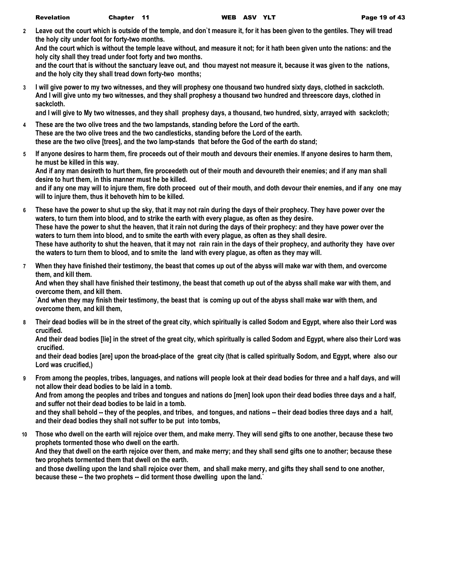**2 Leave out the court which is outside of the temple, and don`t measure it, for it has been given to the gentiles. They will tread the holy city under foot for forty-two months.**

**And the court which is without the temple leave without, and measure it not; for it hath been given unto the nations: and the holy city shall they tread under foot forty and two months.**

**and the court that is without the sanctuary leave out, and thou mayest not measure it, because it was given to the nations, and the holy city they shall tread down forty-two months;**

**3 I will give power to my two witnesses, and they will prophesy one thousand two hundred sixty days, clothed in sackcloth. And I will give unto my two witnesses, and they shall prophesy a thousand two hundred and threescore days, clothed in sackcloth.**

**and I will give to My two witnesses, and they shall prophesy days, a thousand, two hundred, sixty, arrayed with sackcloth;**

- **4 These are the two olive trees and the two lampstands, standing before the Lord of the earth. These are the two olive trees and the two candlesticks, standing before the Lord of the earth. these are the two olive [trees], and the two lamp-stands that before the God of the earth do stand;**
- **5 If anyone desires to harm them, fire proceeds out of their mouth and devours their enemies. If anyone desires to harm them, he must be killed in this way.**

**And if any man desireth to hurt them, fire proceedeth out of their mouth and devoureth their enemies; and if any man shall desire to hurt them, in this manner must he be killed.**

**and if any one may will to injure them, fire doth proceed out of their mouth, and doth devour their enemies, and if any one may will to injure them, thus it behoveth him to be killed.**

- **6 These have the power to shut up the sky, that it may not rain during the days of their prophecy. They have power over the waters, to turn them into blood, and to strike the earth with every plague, as often as they desire. These have the power to shut the heaven, that it rain not during the days of their prophecy: and they have power over the waters to turn them into blood, and to smite the earth with every plague, as often as they shall desire. These have authority to shut the heaven, that it may not rain rain in the days of their prophecy, and authority they have over the waters to turn them to blood, and to smite the land with every plague, as often as they may will.**
- **7 When they have finished their testimony, the beast that comes up out of the abyss will make war with them, and overcome them, and kill them.**

**And when they shall have finished their testimony, the beast that cometh up out of the abyss shall make war with them, and overcome them, and kill them.**

**`And when they may finish their testimony, the beast that is coming up out of the abyss shall make war with them, and overcome them, and kill them,**

**8 Their dead bodies will be in the street of the great city, which spiritually is called Sodom and Egypt, where also their Lord was crucified.**

**And their dead bodies [lie] in the street of the great city, which spiritually is called Sodom and Egypt, where also their Lord was crucified.**

**and their dead bodies [are] upon the broad-place of the great city (that is called spiritually Sodom, and Egypt, where also our Lord was crucified,)**

**9 From among the peoples, tribes, languages, and nations will people look at their dead bodies for three and a half days, and will not allow their dead bodies to be laid in a tomb.**

**And from among the peoples and tribes and tongues and nations do [men] look upon their dead bodies three days and a half, and suffer not their dead bodies to be laid in a tomb.**

**and they shall behold -- they of the peoples, and tribes, and tongues, and nations -- their dead bodies three days and a half, and their dead bodies they shall not suffer to be put into tombs,**

**10 Those who dwell on the earth will rejoice over them, and make merry. They will send gifts to one another, because these two prophets tormented those who dwell on the earth.**

**And they that dwell on the earth rejoice over them, and make merry; and they shall send gifts one to another; because these two prophets tormented them that dwell on the earth.**

**and those dwelling upon the land shall rejoice over them, and shall make merry, and gifts they shall send to one another, because these -- the two prophets -- did torment those dwelling upon the land.`**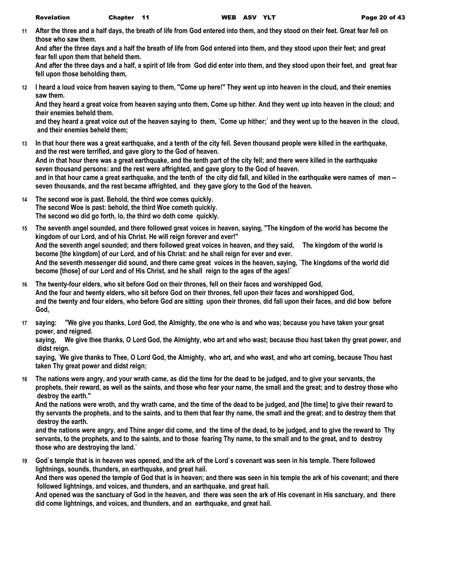**11 After the three and a half days, the breath of life from God entered into them, and they stood on their feet. Great fear fell on those who saw them.**

**And after the three days and a half the breath of life from God entered into them, and they stood upon their feet; and great fear fell upon them that beheld them.**

**And after the three days and a half, a spirit of life from God did enter into them, and they stood upon their feet, and great fear fell upon those beholding them,**

**12 I heard a loud voice from heaven saying to them, "Come up here!" They went up into heaven in the cloud, and their enemies saw them.**

**And they heard a great voice from heaven saying unto them, Come up hither. And they went up into heaven in the cloud; and their enemies beheld them.**

**and they heard a great voice out of the heaven saying to them, `Come up hither;` and they went up to the heaven in the cloud, and their enemies beheld them;**

- **13 In that hour there was a great earthquake, and a tenth of the city fell. Seven thousand people were killed in the earthquake, and the rest were terrified, and gave glory to the God of heaven. And in that hour there was a great earthquake, and the tenth part of the city fell; and there were killed in the earthquake seven thousand persons: and the rest were affrighted, and gave glory to the God of heaven. and in that hour came a great earthquake, and the tenth of the city did fall, and killed in the earthquake were names of men - seven thousands, and the rest became affrighted, and they gave glory to the God of the heaven.**
- **14 The second woe is past. Behold, the third woe comes quickly. The second Woe is past: behold, the third Woe cometh quickly. The second wo did go forth, lo, the third wo doth come quickly.**
- **15 The seventh angel sounded, and there followed great voices in heaven, saying, "The kingdom of the world has become the kingdom of our Lord, and of his Christ. He will reign forever and ever!" And the seventh angel sounded; and there followed great voices in heaven, and they said, The kingdom of the world is become [the kingdom] of our Lord, and of his Christ: and he shall reign for ever and ever. And the seventh messenger did sound, and there came great voices in the heaven, saying, `The kingdoms of the world did become [those] of our Lord and of His Christ, and he shall reign to the ages of the ages!`**
- **16 The twenty-four elders, who sit before God on their thrones, fell on their faces and worshipped God, And the four and twenty elders, who sit before God on their thrones, fell upon their faces and worshipped God, and the twenty and four elders, who before God are sitting upon their thrones, did fall upon their faces, and did bow before God,**
- **17 saying: "We give you thanks, Lord God, the Almighty, the one who is and who was; because you have taken your great power, and reigned.**

**saying, We give thee thanks, O Lord God, the Almighty, who art and who wast; because thou hast taken thy great power, and didst reign.**

**saying, `We give thanks to Thee, O Lord God, the Almighty, who art, and who wast, and who art coming, because Thou hast taken Thy great power and didst reign;**

**18 The nations were angry, and your wrath came, as did the time for the dead to be judged, and to give your servants, the prophets, their reward, as well as the saints, and those who fear your name, the small and the great; and to destroy those who destroy the earth."**

**And the nations were wroth, and thy wrath came, and the time of the dead to be judged, and [the time] to give their reward to thy servants the prophets, and to the saints, and to them that fear thy name, the small and the great; and to destroy them that destroy the earth.**

**and the nations were angry, and Thine anger did come, and the time of the dead, to be judged, and to give the reward to Thy servants, to the prophets, and to the saints, and to those fearing Thy name, to the small and to the great, and to destroy those who are destroying the land.`**

**19 God`s temple that is in heaven was opened, and the ark of the Lord`s covenant was seen in his temple. There followed lightnings, sounds, thunders, an earthquake, and great hail.**

**And there was opened the temple of God that is in heaven; and there was seen in his temple the ark of his covenant; and there followed lightnings, and voices, and thunders, and an earthquake, and great hail.**

**And opened was the sanctuary of God in the heaven, and there was seen the ark of His covenant in His sanctuary, and there did come lightnings, and voices, and thunders, and an earthquake, and great hail.**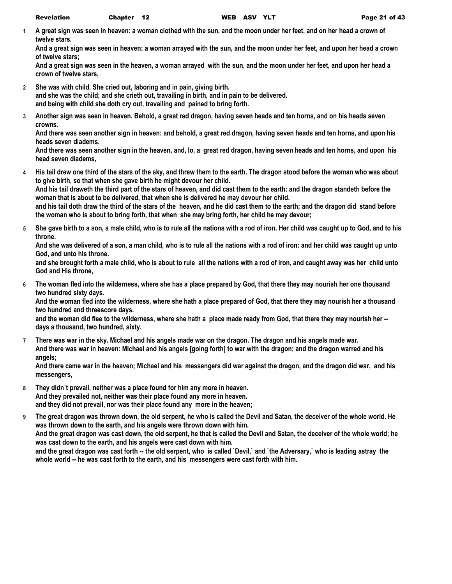**1 A great sign was seen in heaven: a woman clothed with the sun, and the moon under her feet, and on her head a crown of twelve stars.**

**And a great sign was seen in heaven: a woman arrayed with the sun, and the moon under her feet, and upon her head a crown of twelve stars;**

**And a great sign was seen in the heaven, a woman arrayed with the sun, and the moon under her feet, and upon her head a crown of twelve stars,**

**2 She was with child. She cried out, laboring and in pain, giving birth.**

**and she was the child; and she crieth out, travailing in birth, and in pain to be delivered.**

**and being with child she doth cry out, travailing and pained to bring forth.**

**3 Another sign was seen in heaven. Behold, a great red dragon, having seven heads and ten horns, and on his heads seven crowns.**

**And there was seen another sign in heaven: and behold, a great red dragon, having seven heads and ten horns, and upon his heads seven diadems.**

**And there was seen another sign in the heaven, and, lo, a great red dragon, having seven heads and ten horns, and upon his head seven diadems,**

**4 His tail drew one third of the stars of the sky, and threw them to the earth. The dragon stood before the woman who was about to give birth, so that when she gave birth he might devour her child.**

**And his tail draweth the third part of the stars of heaven, and did cast them to the earth: and the dragon standeth before the woman that is about to be delivered, that when she is delivered he may devour her child.**

**and his tail doth draw the third of the stars of the heaven, and he did cast them to the earth; and the dragon did stand before the woman who is about to bring forth, that when she may bring forth, her child he may devour;**

**5 She gave birth to a son, a male child, who is to rule all the nations with a rod of iron. Her child was caught up to God, and to his throne.**

**And she was delivered of a son, a man child, who is to rule all the nations with a rod of iron: and her child was caught up unto God, and unto his throne.**

**and she brought forth a male child, who is about to rule all the nations with a rod of iron, and caught away was her child unto God and His throne,**

**6 The woman fled into the wilderness, where she has a place prepared by God, that there they may nourish her one thousand two hundred sixty days.**

**And the woman fled into the wilderness, where she hath a place prepared of God, that there they may nourish her a thousand two hundred and threescore days.**

**and the woman did flee to the wilderness, where she hath a place made ready from God, that there they may nourish her - days a thousand, two hundred, sixty.**

**7 There was war in the sky. Michael and his angels made war on the dragon. The dragon and his angels made war. And there was war in heaven: Michael and his angels [going forth] to war with the dragon; and the dragon warred and his angels;**

**And there came war in the heaven; Michael and his messengers did war against the dragon, and the dragon did war, and his messengers,**

**8 They didn`t prevail, neither was a place found for him any more in heaven. And they prevailed not, neither was their place found any more in heaven. and they did not prevail, nor was their place found any more in the heaven;**

**9 The great dragon was thrown down, the old serpent, he who is called the Devil and Satan, the deceiver of the whole world. He was thrown down to the earth, and his angels were thrown down with him. And the great dragon was cast down, the old serpent, he that is called the Devil and Satan, the deceiver of the whole world; he was cast down to the earth, and his angels were cast down with him. and the great dragon was cast forth -- the old serpent, who is called `Devil,` and `the Adversary,` who is leading astray the whole world -- he was cast forth to the earth, and his messengers were cast forth with him.**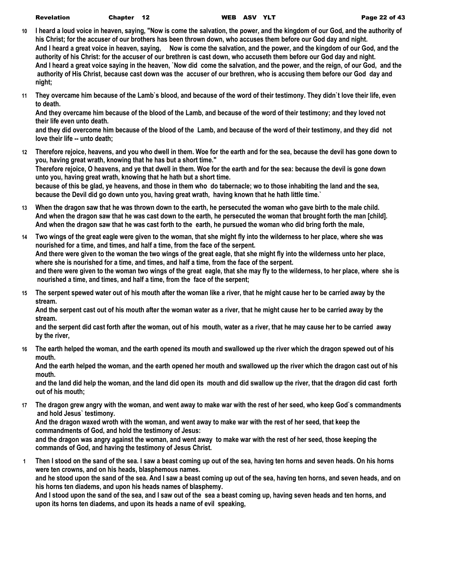| <b>Revelation</b> | Chapter 12 |  |
|-------------------|------------|--|
|-------------------|------------|--|

- **10 I heard a loud voice in heaven, saying, "Now is come the salvation, the power, and the kingdom of our God, and the authority of his Christ; for the accuser of our brothers has been thrown down, who accuses them before our God day and night. And I heard a great voice in heaven, saying, Now is come the salvation, and the power, and the kingdom of our God, and the authority of his Christ: for the accuser of our brethren is cast down, who accuseth them before our God day and night. And I heard a great voice saying in the heaven, `Now did come the salvation, and the power, and the reign, of our God, and the authority of His Christ, because cast down was the accuser of our brethren, who is accusing them before our God day and night;**
- **11 They overcame him because of the Lamb`s blood, and because of the word of their testimony. They didn`t love their life, even to death.**

**And they overcame him because of the blood of the Lamb, and because of the word of their testimony; and they loved not their life even unto death.**

**and they did overcome him because of the blood of the Lamb, and because of the word of their testimony, and they did not love their life -- unto death;**

**12 Therefore rejoice, heavens, and you who dwell in them. Woe for the earth and for the sea, because the devil has gone down to you, having great wrath, knowing that he has but a short time."**

**Therefore rejoice, O heavens, and ye that dwell in them. Woe for the earth and for the sea: because the devil is gone down unto you, having great wrath, knowing that he hath but a short time.**

**because of this be glad, ye heavens, and those in them who do tabernacle; wo to those inhabiting the land and the sea, because the Devil did go down unto you, having great wrath, having known that he hath little time.`**

- **13 When the dragon saw that he was thrown down to the earth, he persecuted the woman who gave birth to the male child. And when the dragon saw that he was cast down to the earth, he persecuted the woman that brought forth the man [child]. And when the dragon saw that he was cast forth to the earth, he pursued the woman who did bring forth the male,**
- **14 Two wings of the great eagle were given to the woman, that she might fly into the wilderness to her place, where she was nourished for a time, and times, and half a time, from the face of the serpent. And there were given to the woman the two wings of the great eagle, that she might fly into the wilderness unto her place, where she is nourished for a time, and times, and half a time, from the face of the serpent. and there were given to the woman two wings of the great eagle, that she may fly to the wilderness, to her place, where she is nourished a time, and times, and half a time, from the face of the serpent;**
- **15 The serpent spewed water out of his mouth after the woman like a river, that he might cause her to be carried away by the stream.**

**And the serpent cast out of his mouth after the woman water as a river, that he might cause her to be carried away by the stream.**

**and the serpent did cast forth after the woman, out of his mouth, water as a river, that he may cause her to be carried away by the river,**

**16 The earth helped the woman, and the earth opened its mouth and swallowed up the river which the dragon spewed out of his mouth.**

**And the earth helped the woman, and the earth opened her mouth and swallowed up the river which the dragon cast out of his mouth.**

**and the land did help the woman, and the land did open its mouth and did swallow up the river, that the dragon did cast forth out of his mouth;**

**17 The dragon grew angry with the woman, and went away to make war with the rest of her seed, who keep God`s commandments and hold Jesus` testimony.**

**And the dragon waxed wroth with the woman, and went away to make war with the rest of her seed, that keep the commandments of God, and hold the testimony of Jesus:**

**and the dragon was angry against the woman, and went away to make war with the rest of her seed, those keeping the commands of God, and having the testimony of Jesus Christ.**

**1 Then I stood on the sand of the sea. I saw a beast coming up out of the sea, having ten horns and seven heads. On his horns were ten crowns, and on his heads, blasphemous names. and he stood upon the sand of the sea. And I saw a beast coming up out of the sea, having ten horns, and seven heads, and on his horns ten diadems, and upon his heads names of blasphemy. And I stood upon the sand of the sea, and I saw out of the sea a beast coming up, having seven heads and ten horns, and** 

**upon its horns ten diadems, and upon its heads a name of evil speaking,**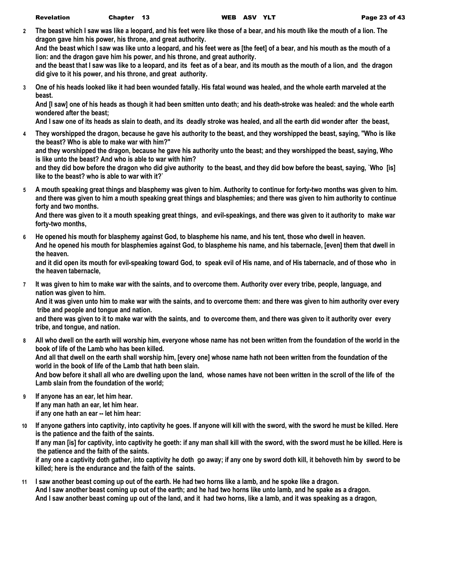**2 The beast which I saw was like a leopard, and his feet were like those of a bear, and his mouth like the mouth of a lion. The dragon gave him his power, his throne, and great authority.**

**And the beast which I saw was like unto a leopard, and his feet were as [the feet] of a bear, and his mouth as the mouth of a lion: and the dragon gave him his power, and his throne, and great authority.**

**and the beast that I saw was like to a leopard, and its feet as of a bear, and its mouth as the mouth of a lion, and the dragon did give to it his power, and his throne, and great authority.**

**3 One of his heads looked like it had been wounded fatally. His fatal wound was healed, and the whole earth marveled at the beast.**

**And [I saw] one of his heads as though it had been smitten unto death; and his death-stroke was healed: and the whole earth wondered after the beast;**

**And I saw one of its heads as slain to death, and its deadly stroke was healed, and all the earth did wonder after the beast,**

**4 They worshipped the dragon, because he gave his authority to the beast, and they worshipped the beast, saying, "Who is like the beast? Who is able to make war with him?"**

**and they worshipped the dragon, because he gave his authority unto the beast; and they worshipped the beast, saying, Who is like unto the beast? And who is able to war with him?**

**and they did bow before the dragon who did give authority to the beast, and they did bow before the beast, saying, `Who [is] like to the beast? who is able to war with it?`**

**5 A mouth speaking great things and blasphemy was given to him. Authority to continue for forty-two months was given to him. and there was given to him a mouth speaking great things and blasphemies; and there was given to him authority to continue forty and two months.**

**And there was given to it a mouth speaking great things, and evil-speakings, and there was given to it authority to make war forty-two months,**

**6 He opened his mouth for blasphemy against God, to blaspheme his name, and his tent, those who dwell in heaven. And he opened his mouth for blasphemies against God, to blaspheme his name, and his tabernacle, [even] them that dwell in the heaven.**

**and it did open its mouth for evil-speaking toward God, to speak evil of His name, and of His tabernacle, and of those who in the heaven tabernacle,**

**7 It was given to him to make war with the saints, and to overcome them. Authority over every tribe, people, language, and nation was given to him.**

**And it was given unto him to make war with the saints, and to overcome them: and there was given to him authority over every tribe and people and tongue and nation.**

**and there was given to it to make war with the saints, and to overcome them, and there was given to it authority over every tribe, and tongue, and nation.**

**8 All who dwell on the earth will worship him, everyone whose name has not been written from the foundation of the world in the book of life of the Lamb who has been killed. And all that dwell on the earth shall worship him, [every one] whose name hath not been written from the foundation of the world in the book of life of the Lamb that hath been slain. And bow before it shall all who are dwelling upon the land, whose names have not been written in the scroll of the life of the** 

**Lamb slain from the foundation of the world;**

- **9 If anyone has an ear, let him hear. If any man hath an ear, let him hear. if any one hath an ear -- let him hear:**
- **10 If anyone gathers into captivity, into captivity he goes. If anyone will kill with the sword, with the sword he must be killed. Here is the patience and the faith of the saints. If any man [is] for captivity, into captivity he goeth: if any man shall kill with the sword, with the sword must he be killed. Here is the patience and the faith of the saints.**

**if any one a captivity doth gather, into captivity he doth go away; if any one by sword doth kill, it behoveth him by sword to be killed; here is the endurance and the faith of the saints.**

**11 I saw another beast coming up out of the earth. He had two horns like a lamb, and he spoke like a dragon. And I saw another beast coming up out of the earth; and he had two horns like unto lamb, and he spake as a dragon. And I saw another beast coming up out of the land, and it had two horns, like a lamb, and it was speaking as a dragon,**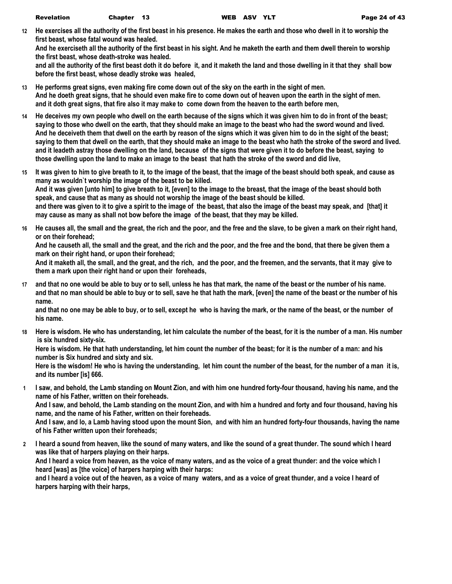**12 He exercises all the authority of the first beast in his presence. He makes the earth and those who dwell in it to worship the first beast, whose fatal wound was healed.**

**And he exerciseth all the authority of the first beast in his sight. And he maketh the earth and them dwell therein to worship the first beast, whose death-stroke was healed.**

**and all the authority of the first beast doth it do before it, and it maketh the land and those dwelling in it that they shall bow before the first beast, whose deadly stroke was healed,**

- **13 He performs great signs, even making fire come down out of the sky on the earth in the sight of men. And he doeth great signs, that he should even make fire to come down out of heaven upon the earth in the sight of men. and it doth great signs, that fire also it may make to come down from the heaven to the earth before men,**
- **14 He deceives my own people who dwell on the earth because of the signs which it was given him to do in front of the beast; saying to those who dwell on the earth, that they should make an image to the beast who had the sword wound and lived. And he deceiveth them that dwell on the earth by reason of the signs which it was given him to do in the sight of the beast; saying to them that dwell on the earth, that they should make an image to the beast who hath the stroke of the sword and lived. and it leadeth astray those dwelling on the land, because of the signs that were given it to do before the beast, saying to those dwelling upon the land to make an image to the beast that hath the stroke of the sword and did live,**
- **15 It was given to him to give breath to it, to the image of the beast, that the image of the beast should both speak, and cause as many as wouldn`t worship the image of the beast to be killed. And it was given [unto him] to give breath to it, [even] to the image to the breast, that the image of the beast should both speak, and cause that as many as should not worship the image of the beast should be killed. and there was given to it to give a spirit to the image of the beast, that also the image of the beast may speak, and [that] it may cause as many as shall not bow before the image of the beast, that they may be killed.**
- **16 He causes all, the small and the great, the rich and the poor, and the free and the slave, to be given a mark on their right hand, or on their forehead;**

**And he causeth all, the small and the great, and the rich and the poor, and the free and the bond, that there be given them a mark on their right hand, or upon their forehead;**

**And it maketh all, the small, and the great, and the rich, and the poor, and the freemen, and the servants, that it may give to them a mark upon their right hand or upon their foreheads,**

**17 and that no one would be able to buy or to sell, unless he has that mark, the name of the beast or the number of his name. and that no man should be able to buy or to sell, save he that hath the mark, [even] the name of the beast or the number of his name.**

**and that no one may be able to buy, or to sell, except he who is having the mark, or the name of the beast, or the number of his name.**

**18 Here is wisdom. He who has understanding, let him calculate the number of the beast, for it is the number of a man. His number is six hundred sixty-six.**

**Here is wisdom. He that hath understanding, let him count the number of the beast; for it is the number of a man: and his number is Six hundred and sixty and six.**

**Here is the wisdom! He who is having the understanding, let him count the number of the beast, for the number of a man it is, and its number [is] 666.**

**1 I saw, and behold, the Lamb standing on Mount Zion, and with him one hundred forty-four thousand, having his name, and the name of his Father, written on their foreheads.**

**And I saw, and behold, the Lamb standing on the mount Zion, and with him a hundred and forty and four thousand, having his name, and the name of his Father, written on their foreheads.**

**And I saw, and lo, a Lamb having stood upon the mount Sion, and with him an hundred forty-four thousands, having the name of his Father written upon their foreheads;**

**2 I heard a sound from heaven, like the sound of many waters, and like the sound of a great thunder. The sound which I heard was like that of harpers playing on their harps.**

**And I heard a voice from heaven, as the voice of many waters, and as the voice of a great thunder: and the voice which I heard [was] as [the voice] of harpers harping with their harps:**

**and I heard a voice out of the heaven, as a voice of many waters, and as a voice of great thunder, and a voice I heard of harpers harping with their harps,**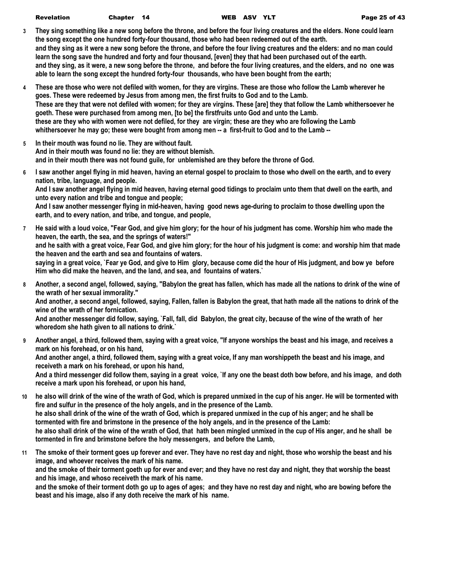| Revelation | Chapter 14 |  | WEB ASV YLT | Page 25 of 43 |
|------------|------------|--|-------------|---------------|
|            |            |  |             |               |

- **3 They sing something like a new song before the throne, and before the four living creatures and the elders. None could learn the song except the one hundred forty-four thousand, those who had been redeemed out of the earth. and they sing as it were a new song before the throne, and before the four living creatures and the elders: and no man could learn the song save the hundred and forty and four thousand, [even] they that had been purchased out of the earth. and they sing, as it were, a new song before the throne, and before the four living creatures, and the elders, and no one was able to learn the song except the hundred forty-four thousands, who have been bought from the earth;**
- **4 These are those who were not defiled with women, for they are virgins. These are those who follow the Lamb wherever he goes. These were redeemed by Jesus from among men, the first fruits to God and to the Lamb. These are they that were not defiled with women; for they are virgins. These [are] they that follow the Lamb whithersoever he goeth. These were purchased from among men, [to be] the firstfruits unto God and unto the Lamb. these are they who with women were not defiled, for they are virgin; these are they who are following the Lamb whithersoever he may go; these were bought from among men -- a first-fruit to God and to the Lamb --**
- **5 In their mouth was found no lie. They are without fault. And in their mouth was found no lie: they are without blemish. and in their mouth there was not found guile, for unblemished are they before the throne of God.**
- **6 I saw another angel flying in mid heaven, having an eternal gospel to proclaim to those who dwell on the earth, and to every nation, tribe, language, and people. And I saw another angel flying in mid heaven, having eternal good tidings to proclaim unto them that dwell on the earth, and unto every nation and tribe and tongue and people; And I saw another messenger flying in mid-heaven, having good news age-during to proclaim to those dwelling upon the earth, and to every nation, and tribe, and tongue, and people,**
- **7 He said with a loud voice, "Fear God, and give him glory; for the hour of his judgment has come. Worship him who made the heaven, the earth, the sea, and the springs of waters!" and he saith with a great voice, Fear God, and give him glory; for the hour of his judgment is come: and worship him that made the heaven and the earth and sea and fountains of waters. saying in a great voice, `Fear ye God, and give to Him glory, because come did the hour of His judgment, and bow ye before Him who did make the heaven, and the land, and sea, and fountains of waters.`**
- **8 Another, a second angel, followed, saying, "Babylon the great has fallen, which has made all the nations to drink of the wine of the wrath of her sexual immorality."**

**And another, a second angel, followed, saying, Fallen, fallen is Babylon the great, that hath made all the nations to drink of the wine of the wrath of her fornication.**

**And another messenger did follow, saying, `Fall, fall, did Babylon, the great city, because of the wine of the wrath of her whoredom she hath given to all nations to drink.`**

- **9 Another angel, a third, followed them, saying with a great voice, "If anyone worships the beast and his image, and receives a mark on his forehead, or on his hand, And another angel, a third, followed them, saying with a great voice, If any man worshippeth the beast and his image, and receiveth a mark on his forehead, or upon his hand, And a third messenger did follow them, saying in a great voice, `If any one the beast doth bow before, and his image, and doth receive a mark upon his forehead, or upon his hand,**
- **10 he also will drink of the wine of the wrath of God, which is prepared unmixed in the cup of his anger. He will be tormented with fire and sulfur in the presence of the holy angels, and in the presence of the Lamb. he also shall drink of the wine of the wrath of God, which is prepared unmixed in the cup of his anger; and he shall be tormented with fire and brimstone in the presence of the holy angels, and in the presence of the Lamb: he also shall drink of the wine of the wrath of God, that hath been mingled unmixed in the cup of His anger, and he shall be tormented in fire and brimstone before the holy messengers, and before the Lamb,**
- **11 The smoke of their torment goes up forever and ever. They have no rest day and night, those who worship the beast and his image, and whoever receives the mark of his name. and the smoke of their torment goeth up for ever and ever; and they have no rest day and night, they that worship the beast and his image, and whoso receiveth the mark of his name. and the smoke of their torment doth go up to ages of ages; and they have no rest day and night, who are bowing before the beast and his image, also if any doth receive the mark of his name.**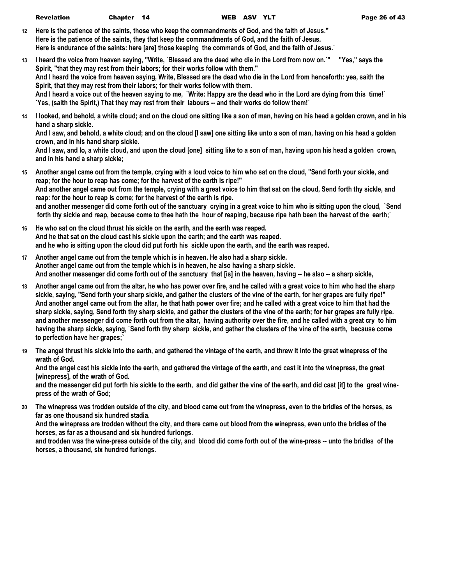|  | <b>Revelation</b> | Chapter 14 |  |
|--|-------------------|------------|--|
|--|-------------------|------------|--|

- **12 Here is the patience of the saints, those who keep the commandments of God, and the faith of Jesus." Here is the patience of the saints, they that keep the commandments of God, and the faith of Jesus. Here is endurance of the saints: here [are] those keeping the commands of God, and the faith of Jesus.`**
- **13 I heard the voice from heaven saying, "Write, `Blessed are the dead who die in the Lord from now on.`" "Yes," says the Spirit, "that they may rest from their labors; for their works follow with them." And I heard the voice from heaven saying, Write, Blessed are the dead who die in the Lord from henceforth: yea, saith the Spirit, that they may rest from their labors; for their works follow with them. And I heard a voice out of the heaven saying to me, `Write: Happy are the dead who in the Lord are dying from this time!` `Yes, (saith the Spirit,) That they may rest from their labours -- and their works do follow them!`**
- **14 I looked, and behold, a white cloud; and on the cloud one sitting like a son of man, having on his head a golden crown, and in his hand a sharp sickle.**

**And I saw, and behold, a white cloud; and on the cloud [I saw] one sitting like unto a son of man, having on his head a golden crown, and in his hand sharp sickle.**

**And I saw, and lo, a white cloud, and upon the cloud [one] sitting like to a son of man, having upon his head a golden crown, and in his hand a sharp sickle;**

- **15 Another angel came out from the temple, crying with a loud voice to him who sat on the cloud, "Send forth your sickle, and reap; for the hour to reap has come; for the harvest of the earth is ripe!" And another angel came out from the temple, crying with a great voice to him that sat on the cloud, Send forth thy sickle, and reap: for the hour to reap is come; for the harvest of the earth is ripe. and another messenger did come forth out of the sanctuary crying in a great voice to him who is sitting upon the cloud, `Send forth thy sickle and reap, because come to thee hath the hour of reaping, because ripe hath been the harvest of the earth;`**
- **16 He who sat on the cloud thrust his sickle on the earth, and the earth was reaped. And he that sat on the cloud cast his sickle upon the earth; and the earth was reaped. and he who is sitting upon the cloud did put forth his sickle upon the earth, and the earth was reaped.**
- **17 Another angel came out from the temple which is in heaven. He also had a sharp sickle. Another angel came out from the temple which is in heaven, he also having a sharp sickle. And another messenger did come forth out of the sanctuary that [is] in the heaven, having -- he also -- a sharp sickle,**
- **18 Another angel came out from the altar, he who has power over fire, and he called with a great voice to him who had the sharp sickle, saying, "Send forth your sharp sickle, and gather the clusters of the vine of the earth, for her grapes are fully ripe!" And another angel came out from the altar, he that hath power over fire; and he called with a great voice to him that had the sharp sickle, saying, Send forth thy sharp sickle, and gather the clusters of the vine of the earth; for her grapes are fully ripe. and another messenger did come forth out from the altar, having authority over the fire, and he called with a great cry to him having the sharp sickle, saying, `Send forth thy sharp sickle, and gather the clusters of the vine of the earth, because come to perfection have her grapes;`**
- **19 The angel thrust his sickle into the earth, and gathered the vintage of the earth, and threw it into the great winepress of the wrath of God.**

**And the angel cast his sickle into the earth, and gathered the vintage of the earth, and cast it into the winepress, the great [winepress], of the wrath of God.**

**and the messenger did put forth his sickle to the earth, and did gather the vine of the earth, and did cast [it] to the great winepress of the wrath of God;**

**20 The winepress was trodden outside of the city, and blood came out from the winepress, even to the bridles of the horses, as far as one thousand six hundred stadia.**

**And the winepress are trodden without the city, and there came out blood from the winepress, even unto the bridles of the horses, as far as a thousand and six hundred furlongs.**

**and trodden was the wine-press outside of the city, and blood did come forth out of the wine-press -- unto the bridles of the horses, a thousand, six hundred furlongs.**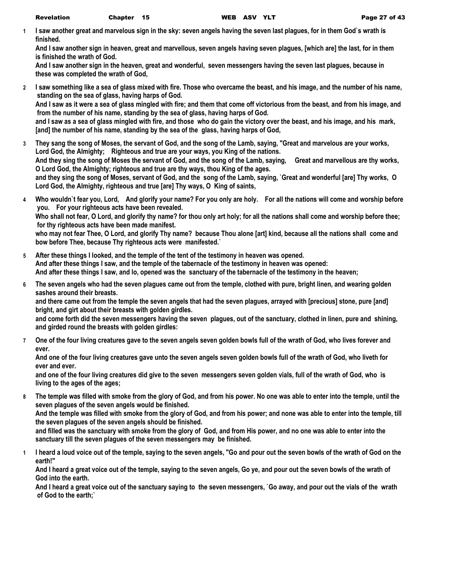**1 I saw another great and marvelous sign in the sky: seven angels having the seven last plagues, for in them God`s wrath is finished.**

**And I saw another sign in heaven, great and marvellous, seven angels having seven plagues, [which are] the last, for in them is finished the wrath of God.**

**And I saw another sign in the heaven, great and wonderful, seven messengers having the seven last plagues, because in these was completed the wrath of God,**

- **2 I saw something like a sea of glass mixed with fire. Those who overcame the beast, and his image, and the number of his name, standing on the sea of glass, having harps of God. And I saw as it were a sea of glass mingled with fire; and them that come off victorious from the beast, and from his image, and from the number of his name, standing by the sea of glass, having harps of God. and I saw as a sea of glass mingled with fire, and those who do gain the victory over the beast, and his image, and his mark, [and] the number of his name, standing by the sea of the glass, having harps of God,**
- **3 They sang the song of Moses, the servant of God, and the song of the Lamb, saying, "Great and marvelous are your works, Lord God, the Almighty; Righteous and true are your ways, you King of the nations. And they sing the song of Moses the servant of God, and the song of the Lamb, saying, Great and marvellous are thy works, O Lord God, the Almighty; righteous and true are thy ways, thou King of the ages. and they sing the song of Moses, servant of God, and the song of the Lamb, saying, `Great and wonderful [are] Thy works, O Lord God, the Almighty, righteous and true [are] Thy ways, O King of saints,**
- **4 Who wouldn`t fear you, Lord, And glorify your name? For you only are holy. For all the nations will come and worship before you. For your righteous acts have been revealed.**

**Who shall not fear, O Lord, and glorify thy name? for thou only art holy; for all the nations shall come and worship before thee; for thy righteous acts have been made manifest.**

**who may not fear Thee, O Lord, and glorify Thy name? because Thou alone [art] kind, because all the nations shall come and bow before Thee, because Thy righteous acts were manifested.`**

- **5 After these things I looked, and the temple of the tent of the testimony in heaven was opened. And after these things I saw, and the temple of the tabernacle of the testimony in heaven was opened: And after these things I saw, and lo, opened was the sanctuary of the tabernacle of the testimony in the heaven;**
- **6 The seven angels who had the seven plagues came out from the temple, clothed with pure, bright linen, and wearing golden sashes around their breasts.**

**and there came out from the temple the seven angels that had the seven plagues, arrayed with [precious] stone, pure [and] bright, and girt about their breasts with golden girdles.**

**and come forth did the seven messengers having the seven plagues, out of the sanctuary, clothed in linen, pure and shining, and girded round the breasts with golden girdles:**

**7 One of the four living creatures gave to the seven angels seven golden bowls full of the wrath of God, who lives forever and ever.**

**And one of the four living creatures gave unto the seven angels seven golden bowls full of the wrath of God, who liveth for ever and ever.**

**and one of the four living creatures did give to the seven messengers seven golden vials, full of the wrath of God, who is living to the ages of the ages;**

**8 The temple was filled with smoke from the glory of God, and from his power. No one was able to enter into the temple, until the seven plagues of the seven angels would be finished.**

**And the temple was filled with smoke from the glory of God, and from his power; and none was able to enter into the temple, till the seven plagues of the seven angels should be finished.**

**and filled was the sanctuary with smoke from the glory of God, and from His power, and no one was able to enter into the sanctuary till the seven plagues of the seven messengers may be finished.**

**1 I heard a loud voice out of the temple, saying to the seven angels, "Go and pour out the seven bowls of the wrath of God on the earth!"**

**And I heard a great voice out of the temple, saying to the seven angels, Go ye, and pour out the seven bowls of the wrath of God into the earth.**

**And I heard a great voice out of the sanctuary saying to the seven messengers, `Go away, and pour out the vials of the wrath of God to the earth;`**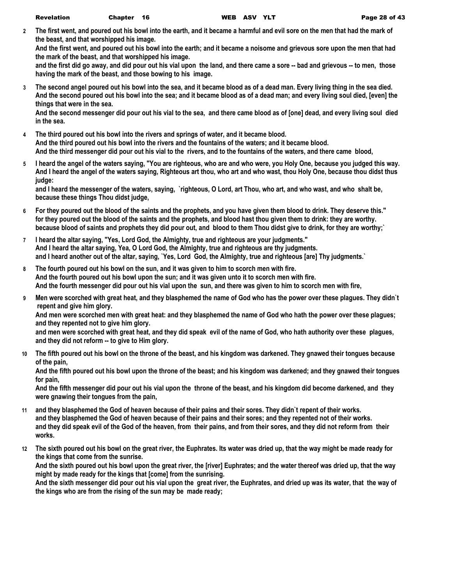**2 The first went, and poured out his bowl into the earth, and it became a harmful and evil sore on the men that had the mark of the beast, and that worshipped his image.**

**And the first went, and poured out his bowl into the earth; and it became a noisome and grievous sore upon the men that had the mark of the beast, and that worshipped his image.**

**and the first did go away, and did pour out his vial upon the land, and there came a sore -- bad and grievous -- to men, those having the mark of the beast, and those bowing to his image.**

**3 The second angel poured out his bowl into the sea, and it became blood as of a dead man. Every living thing in the sea died. And the second poured out his bowl into the sea; and it became blood as of a dead man; and every living soul died, [even] the things that were in the sea.**

**And the second messenger did pour out his vial to the sea, and there came blood as of [one] dead, and every living soul died in the sea.**

- **4 The third poured out his bowl into the rivers and springs of water, and it became blood. And the third poured out his bowl into the rivers and the fountains of the waters; and it became blood. And the third messenger did pour out his vial to the rivers, and to the fountains of the waters, and there came blood,**
- **5 I heard the angel of the waters saying, "You are righteous, who are and who were, you Holy One, because you judged this way. And I heard the angel of the waters saying, Righteous art thou, who art and who wast, thou Holy One, because thou didst thus judge:**

**and I heard the messenger of the waters, saying, `righteous, O Lord, art Thou, who art, and who wast, and who shalt be, because these things Thou didst judge,**

- **6 For they poured out the blood of the saints and the prophets, and you have given them blood to drink. They deserve this." for they poured out the blood of the saints and the prophets, and blood hast thou given them to drink: they are worthy. because blood of saints and prophets they did pour out, and blood to them Thou didst give to drink, for they are worthy;`**
- **7 I heard the altar saying, "Yes, Lord God, the Almighty, true and righteous are your judgments." And I heard the altar saying, Yea, O Lord God, the Almighty, true and righteous are thy judgments. and I heard another out of the altar, saying, `Yes, Lord God, the Almighty, true and righteous [are] Thy judgments.`**
- **8 The fourth poured out his bowl on the sun, and it was given to him to scorch men with fire. And the fourth poured out his bowl upon the sun; and it was given unto it to scorch men with fire. And the fourth messenger did pour out his vial upon the sun, and there was given to him to scorch men with fire,**
- **9 Men were scorched with great heat, and they blasphemed the name of God who has the power over these plagues. They didn`t repent and give him glory.**

**And men were scorched men with great heat: and they blasphemed the name of God who hath the power over these plagues; and they repented not to give him glory.**

**and men were scorched with great heat, and they did speak evil of the name of God, who hath authority over these plagues, and they did not reform -- to give to Him glory.**

**10 The fifth poured out his bowl on the throne of the beast, and his kingdom was darkened. They gnawed their tongues because of the pain,**

**And the fifth poured out his bowl upon the throne of the beast; and his kingdom was darkened; and they gnawed their tongues for pain,**

**And the fifth messenger did pour out his vial upon the throne of the beast, and his kingdom did become darkened, and they were gnawing their tongues from the pain,**

- **11 and they blasphemed the God of heaven because of their pains and their sores. They didn`t repent of their works. and they blasphemed the God of heaven because of their pains and their sores; and they repented not of their works. and they did speak evil of the God of the heaven, from their pains, and from their sores, and they did not reform from their works.**
- **12 The sixth poured out his bowl on the great river, the Euphrates. Its water was dried up, that the way might be made ready for the kings that come from the sunrise.**

**And the sixth poured out his bowl upon the great river, the [river] Euphrates; and the water thereof was dried up, that the way might by made ready for the kings that [come] from the sunrising.**

**And the sixth messenger did pour out his vial upon the great river, the Euphrates, and dried up was its water, that the way of the kings who are from the rising of the sun may be made ready;**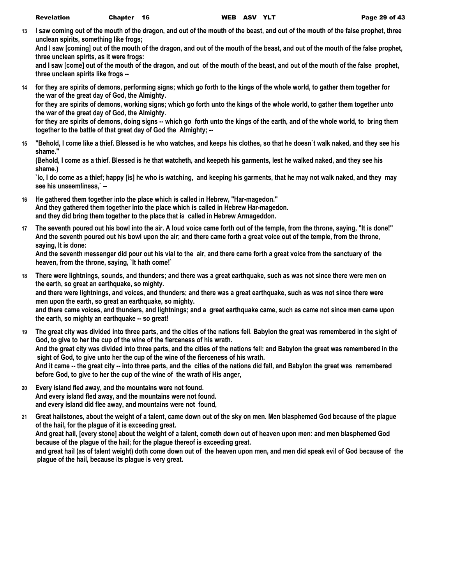**13 I saw coming out of the mouth of the dragon, and out of the mouth of the beast, and out of the mouth of the false prophet, three unclean spirits, something like frogs;**

**And I saw [coming] out of the mouth of the dragon, and out of the mouth of the beast, and out of the mouth of the false prophet, three unclean spirits, as it were frogs:**

**and I saw [come] out of the mouth of the dragon, and out of the mouth of the beast, and out of the mouth of the false prophet, three unclean spirits like frogs --**

**14 for they are spirits of demons, performing signs; which go forth to the kings of the whole world, to gather them together for the war of the great day of God, the Almighty.**

**for they are spirits of demons, working signs; which go forth unto the kings of the whole world, to gather them together unto the war of the great day of God, the Almighty.**

**for they are spirits of demons, doing signs -- which go forth unto the kings of the earth, and of the whole world, to bring them together to the battle of that great day of God the Almighty; --**

**15 "Behold, I come like a thief. Blessed is he who watches, and keeps his clothes, so that he doesn`t walk naked, and they see his shame."**

**(Behold, I come as a thief. Blessed is he that watcheth, and keepeth his garments, lest he walked naked, and they see his shame.)**

**`lo, I do come as a thief; happy [is] he who is watching, and keeping his garments, that he may not walk naked, and they may see his unseemliness,` --**

- **16 He gathered them together into the place which is called in Hebrew, "Har-magedon." And they gathered them together into the place which is called in Hebrew Har-magedon. and they did bring them together to the place that is called in Hebrew Armageddon.**
- **17 The seventh poured out his bowl into the air. A loud voice came forth out of the temple, from the throne, saying, "It is done!" And the seventh poured out his bowl upon the air; and there came forth a great voice out of the temple, from the throne, saying, It is done:**

**And the seventh messenger did pour out his vial to the air, and there came forth a great voice from the sanctuary of the heaven, from the throne, saying, `It hath come!`**

**18 There were lightnings, sounds, and thunders; and there was a great earthquake, such as was not since there were men on the earth, so great an earthquake, so mighty. and there were lightnings, and voices, and thunders; and there was a great earthquake, such as was not since there were** 

**men upon the earth, so great an earthquake, so mighty.**

**and there came voices, and thunders, and lightnings; and a great earthquake came, such as came not since men came upon the earth, so mighty an earthquake -- so great!**

- **19 The great city was divided into three parts, and the cities of the nations fell. Babylon the great was remembered in the sight of God, to give to her the cup of the wine of the fierceness of his wrath. And the great city was divided into three parts, and the cities of the nations fell: and Babylon the great was remembered in the sight of God, to give unto her the cup of the wine of the fierceness of his wrath. And it came -- the great city -- into three parts, and the cities of the nations did fall, and Babylon the great was remembered before God, to give to her the cup of the wine of the wrath of His anger,**
- **20 Every island fled away, and the mountains were not found. And every island fled away, and the mountains were not found. and every island did flee away, and mountains were not found,**
- **21 Great hailstones, about the weight of a talent, came down out of the sky on men. Men blasphemed God because of the plague of the hail, for the plague of it is exceeding great. And great hail, [every stone] about the weight of a talent, cometh down out of heaven upon men: and men blasphemed God because of the plague of the hail; for the plague thereof is exceeding great. and great hail (as of talent weight) doth come down out of the heaven upon men, and men did speak evil of God because of the plague of the hail, because its plague is very great.**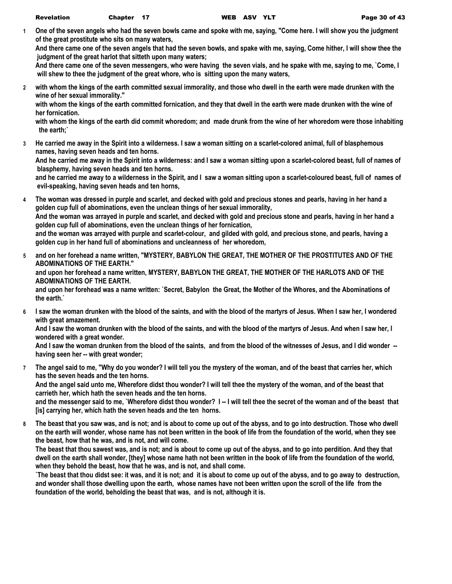**1 One of the seven angels who had the seven bowls came and spoke with me, saying, "Come here. I will show you the judgment of the great prostitute who sits on many waters,**

**And there came one of the seven angels that had the seven bowls, and spake with me, saying, Come hither, I will show thee the judgment of the great harlot that sitteth upon many waters;**

**And there came one of the seven messengers, who were having the seven vials, and he spake with me, saying to me, `Come, I will shew to thee the judgment of the great whore, who is sitting upon the many waters,**

**2 with whom the kings of the earth committed sexual immorality, and those who dwell in the earth were made drunken with the wine of her sexual immorality."**

**with whom the kings of the earth committed fornication, and they that dwell in the earth were made drunken with the wine of her fornication.**

**with whom the kings of the earth did commit whoredom; and made drunk from the wine of her whoredom were those inhabiting the earth;`**

**3 He carried me away in the Spirit into a wilderness. I saw a woman sitting on a scarlet-colored animal, full of blasphemous names, having seven heads and ten horns.**

**And he carried me away in the Spirit into a wilderness: and I saw a woman sitting upon a scarlet-colored beast, full of names of blasphemy, having seven heads and ten horns.**

**and he carried me away to a wilderness in the Spirit, and I saw a woman sitting upon a scarlet-coloured beast, full of names of evil-speaking, having seven heads and ten horns,**

- **4 The woman was dressed in purple and scarlet, and decked with gold and precious stones and pearls, having in her hand a golden cup full of abominations, even the unclean things of her sexual immorality, And the woman was arrayed in purple and scarlet, and decked with gold and precious stone and pearls, having in her hand a golden cup full of abominations, even the unclean things of her fornication, and the woman was arrayed with purple and scarlet-colour, and gilded with gold, and precious stone, and pearls, having a golden cup in her hand full of abominations and uncleanness of her whoredom,**
- **5 and on her forehead a name written, "MYSTERY, BABYLON THE GREAT, THE MOTHER OF THE PROSTITUTES AND OF THE ABOMINATIONS OF THE EARTH." and upon her forehead a name written, MYSTERY, BABYLON THE GREAT, THE MOTHER OF THE HARLOTS AND OF THE ABOMINATIONS OF THE EARTH. and upon her forehead was a name written: `Secret, Babylon the Great, the Mother of the Whores, and the Abominations of the earth.`**
- **6 I saw the woman drunken with the blood of the saints, and with the blood of the martyrs of Jesus. When I saw her, I wondered with great amazement.**

**And I saw the woman drunken with the blood of the saints, and with the blood of the martyrs of Jesus. And when I saw her, I wondered with a great wonder.**

**And I saw the woman drunken from the blood of the saints, and from the blood of the witnesses of Jesus, and I did wonder - having seen her -- with great wonder;**

**7 The angel said to me, "Why do you wonder? I will tell you the mystery of the woman, and of the beast that carries her, which has the seven heads and the ten horns.**

**And the angel said unto me, Wherefore didst thou wonder? I will tell thee the mystery of the woman, and of the beast that carrieth her, which hath the seven heads and the ten horns.**

**and the messenger said to me, `Wherefore didst thou wonder? I -- I will tell thee the secret of the woman and of the beast that [is] carrying her, which hath the seven heads and the ten horns.**

**8 The beast that you saw was, and is not; and is about to come up out of the abyss, and to go into destruction. Those who dwell on the earth will wonder, whose name has not been written in the book of life from the foundation of the world, when they see the beast, how that he was, and is not, and will come.**

**The beast that thou sawest was, and is not; and is about to come up out of the abyss, and to go into perdition. And they that dwell on the earth shall wonder, [they] whose name hath not been written in the book of life from the foundation of the world, when they behold the beast, how that he was, and is not, and shall come.**

**`The beast that thou didst see: it was, and it is not; and it is about to come up out of the abyss, and to go away to destruction, and wonder shall those dwelling upon the earth, whose names have not been written upon the scroll of the life from the foundation of the world, beholding the beast that was, and is not, although it is.**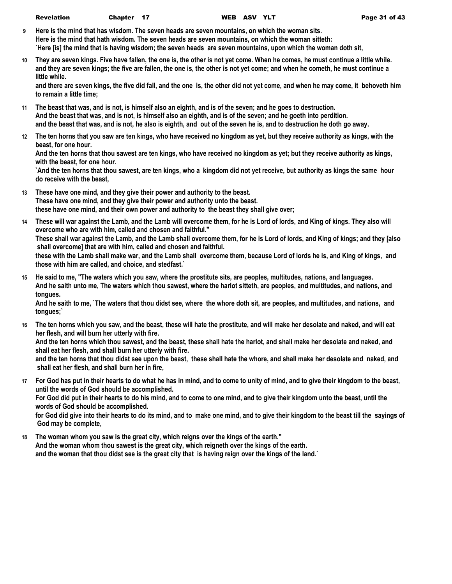- **9 Here is the mind that has wisdom. The seven heads are seven mountains, on which the woman sits. Here is the mind that hath wisdom. The seven heads are seven mountains, on which the woman sitteth: `Here [is] the mind that is having wisdom; the seven heads are seven mountains, upon which the woman doth sit,**
- **10 They are seven kings. Five have fallen, the one is, the other is not yet come. When he comes, he must continue a little while. and they are seven kings; the five are fallen, the one is, the other is not yet come; and when he cometh, he must continue a little while.**

**and there are seven kings, the five did fall, and the one is, the other did not yet come, and when he may come, it behoveth him to remain a little time;**

- **11 The beast that was, and is not, is himself also an eighth, and is of the seven; and he goes to destruction. And the beast that was, and is not, is himself also an eighth, and is of the seven; and he goeth into perdition. and the beast that was, and is not, he also is eighth, and out of the seven he is, and to destruction he doth go away.**
- **12 The ten horns that you saw are ten kings, who have received no kingdom as yet, but they receive authority as kings, with the beast, for one hour.**

**And the ten horns that thou sawest are ten kings, who have received no kingdom as yet; but they receive authority as kings, with the beast, for one hour.**

**`And the ten horns that thou sawest, are ten kings, who a kingdom did not yet receive, but authority as kings the same hour do receive with the beast,**

- **13 These have one mind, and they give their power and authority to the beast. These have one mind, and they give their power and authority unto the beast. these have one mind, and their own power and authority to the beast they shall give over;**
- **14 These will war against the Lamb, and the Lamb will overcome them, for he is Lord of lords, and King of kings. They also will overcome who are with him, called and chosen and faithful." These shall war against the Lamb, and the Lamb shall overcome them, for he is Lord of lords, and King of kings; and they [also shall overcome] that are with him, called and chosen and faithful. these with the Lamb shall make war, and the Lamb shall overcome them, because Lord of lords he is, and King of kings, and those with him are called, and choice, and stedfast.`**
- **15 He said to me, "The waters which you saw, where the prostitute sits, are peoples, multitudes, nations, and languages. And he saith unto me, The waters which thou sawest, where the harlot sitteth, are peoples, and multitudes, and nations, and tongues.**

**And he saith to me, `The waters that thou didst see, where the whore doth sit, are peoples, and multitudes, and nations, and tongues;`**

**16 The ten horns which you saw, and the beast, these will hate the prostitute, and will make her desolate and naked, and will eat her flesh, and will burn her utterly with fire.**

**And the ten horns which thou sawest, and the beast, these shall hate the harlot, and shall make her desolate and naked, and shall eat her flesh, and shall burn her utterly with fire.**

**and the ten horns that thou didst see upon the beast, these shall hate the whore, and shall make her desolate and naked, and shall eat her flesh, and shall burn her in fire,**

**17 For God has put in their hearts to do what he has in mind, and to come to unity of mind, and to give their kingdom to the beast, until the words of God should be accomplished.**

**For God did put in their hearts to do his mind, and to come to one mind, and to give their kingdom unto the beast, until the words of God should be accomplished.**

**for God did give into their hearts to do its mind, and to make one mind, and to give their kingdom to the beast till the sayings of God may be complete,**

**18 The woman whom you saw is the great city, which reigns over the kings of the earth." And the woman whom thou sawest is the great city, which reigneth over the kings of the earth. and the woman that thou didst see is the great city that is having reign over the kings of the land.`**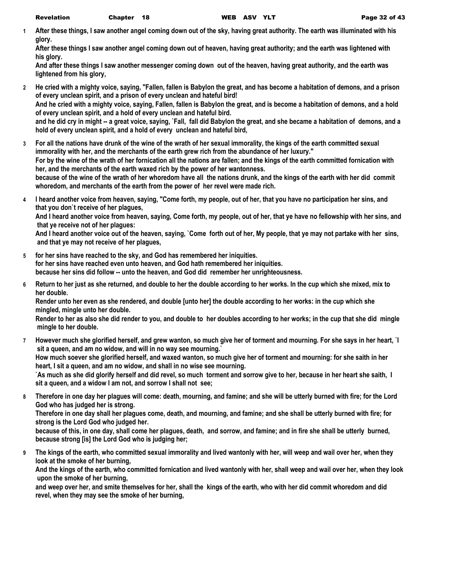**1 After these things, I saw another angel coming down out of the sky, having great authority. The earth was illuminated with his glory.**

**After these things I saw another angel coming down out of heaven, having great authority; and the earth was lightened with his glory.**

**And after these things I saw another messenger coming down out of the heaven, having great authority, and the earth was lightened from his glory,**

- **2 He cried with a mighty voice, saying, "Fallen, fallen is Babylon the great, and has become a habitation of demons, and a prison of every unclean spirit, and a prison of every unclean and hateful bird! And he cried with a mighty voice, saying, Fallen, fallen is Babylon the great, and is become a habitation of demons, and a hold of every unclean spirit, and a hold of every unclean and hateful bird. and he did cry in might -- a great voice, saying, `Fall, fall did Babylon the great, and she became a habitation of demons, and a hold of every unclean spirit, and a hold of every unclean and hateful bird,**
- **3 For all the nations have drunk of the wine of the wrath of her sexual immorality, the kings of the earth committed sexual immorality with her, and the merchants of the earth grew rich from the abundance of her luxury." For by the wine of the wrath of her fornication all the nations are fallen; and the kings of the earth committed fornication with her, and the merchants of the earth waxed rich by the power of her wantonness. because of the wine of the wrath of her whoredom have all the nations drunk, and the kings of the earth with her did commit whoredom, and merchants of the earth from the power of her revel were made rich.**
- **4 I heard another voice from heaven, saying, "Come forth, my people, out of her, that you have no participation her sins, and that you don`t receive of her plagues,**

**And I heard another voice from heaven, saying, Come forth, my people, out of her, that ye have no fellowship with her sins, and that ye receive not of her plagues:**

**And I heard another voice out of the heaven, saying, `Come forth out of her, My people, that ye may not partake with her sins, and that ye may not receive of her plagues,**

- **5 for her sins have reached to the sky, and God has remembered her iniquities. for her sins have reached even unto heaven, and God hath remembered her iniquities. because her sins did follow -- unto the heaven, and God did remember her unrighteousness.**
- **6 Return to her just as she returned, and double to her the double according to her works. In the cup which she mixed, mix to her double.**

**Render unto her even as she rendered, and double [unto her] the double according to her works: in the cup which she mingled, mingle unto her double.**

**Render to her as also she did render to you, and double to her doubles according to her works; in the cup that she did mingle mingle to her double.**

- **7 However much she glorified herself, and grew wanton, so much give her of torment and mourning. For she says in her heart, `I sit a queen, and am no widow, and will in no way see mourning.` How much soever she glorified herself, and waxed wanton, so much give her of torment and mourning: for she saith in her heart, I sit a queen, and am no widow, and shall in no wise see mourning. `As much as she did glorify herself and did revel, so much torment and sorrow give to her, because in her heart she saith, I sit a queen, and a widow I am not, and sorrow I shall not see;**
- **8 Therefore in one day her plagues will come: death, mourning, and famine; and she will be utterly burned with fire; for the Lord God who has judged her is strong.**

**Therefore in one day shall her plagues come, death, and mourning, and famine; and she shall be utterly burned with fire; for strong is the Lord God who judged her.**

**because of this, in one day, shall come her plagues, death, and sorrow, and famine; and in fire she shall be utterly burned, because strong [is] the Lord God who is judging her;**

**9 The kings of the earth, who committed sexual immorality and lived wantonly with her, will weep and wail over her, when they look at the smoke of her burning,**

**And the kings of the earth, who committed fornication and lived wantonly with her, shall weep and wail over her, when they look upon the smoke of her burning,**

**and weep over her, and smite themselves for her, shall the kings of the earth, who with her did commit whoredom and did revel, when they may see the smoke of her burning,**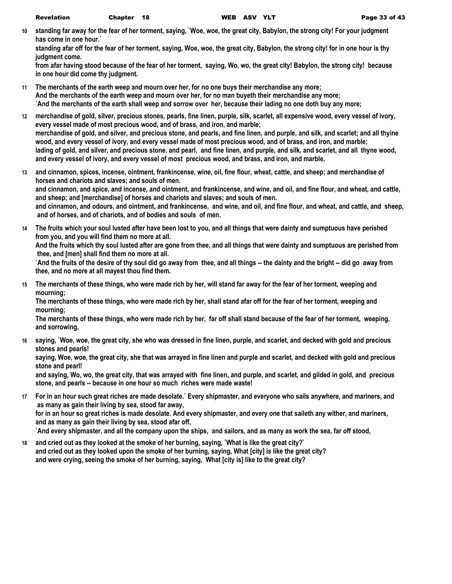**10 standing far away for the fear of her torment, saying, `Woe, woe, the great city, Babylon, the strong city! For your judgment has come in one hour.`**

**standing afar off for the fear of her torment, saying, Woe, woe, the great city, Babylon, the strong city! for in one hour is thy judgment come.**

**from afar having stood because of the fear of her torment, saying, Wo, wo, the great city! Babylon, the strong city! because in one hour did come thy judgment.**

- **11 The merchants of the earth weep and mourn over her, for no one buys their merchandise any more; And the merchants of the earth weep and mourn over her, for no man buyeth their merchandise any more; `And the merchants of the earth shall weep and sorrow over her, because their lading no one doth buy any more;**
- **12 merchandise of gold, silver, precious stones, pearls, fine linen, purple, silk, scarlet, all expensive wood, every vessel of ivory, every vessel made of most precious wood, and of brass, and iron, and marble; merchandise of gold, and silver, and precious stone, and pearls, and fine linen, and purple, and silk, and scarlet; and all thyine wood, and every vessel of ivory, and every vessel made of most precious wood, and of brass, and iron, and marble; lading of gold, and silver, and precious stone, and pearl, and fine linen, and purple, and silk, and scarlet, and all thyne wood, and every vessel of ivory, and every vessel of most precious wood, and brass, and iron, and marble,**
- **13 and cinnamon, spices, incense, ointment, frankincense, wine, oil, fine flour, wheat, cattle, and sheep; and merchandise of horses and chariots and slaves; and souls of men. and cinnamon, and spice, and incense, and ointment, and frankincense, and wine, and oil, and fine flour, and wheat, and cattle, and sheep; and [merchandise] of horses and chariots and slaves; and souls of men. and cinnamon, and odours, and ointment, and frankincense, and wine, and oil, and fine flour, and wheat, and cattle, and sheep, and of horses, and of chariots, and of bodies and souls of men.**
- **14 The fruits which your soul lusted after have been lost to you, and all things that were dainty and sumptuous have perished from you, and you will find them no more at all.**

**And the fruits which thy soul lusted after are gone from thee, and all things that were dainty and sumptuous are perished from thee, and [men] shall find them no more at all.**

**`And the fruits of the desire of thy soul did go away from thee, and all things -- the dainty and the bright -- did go away from thee, and no more at all mayest thou find them.**

**15 The merchants of these things, who were made rich by her, will stand far away for the fear of her torment, weeping and mourning;**

**The merchants of these things, who were made rich by her, shall stand afar off for the fear of her torment, weeping and mourning;**

**The merchants of these things, who were made rich by her, far off shall stand because of the fear of her torment, weeping, and sorrowing,**

**16 saying, `Woe, woe, the great city, she who was dressed in fine linen, purple, and scarlet, and decked with gold and precious stones and pearls!**

**saying, Woe, woe, the great city, she that was arrayed in fine linen and purple and scarlet, and decked with gold and precious stone and pearl!**

**and saying, Wo, wo, the great city, that was arrayed with fine linen, and purple, and scarlet, and gilded in gold, and precious stone, and pearls -- because in one hour so much riches were made waste!**

**17 For in an hour such great riches are made desolate.` Every shipmaster, and everyone who sails anywhere, and mariners, and as many as gain their living by sea, stood far away,**

**for in an hour so great riches is made desolate. And every shipmaster, and every one that saileth any wither, and mariners, and as many as gain their living by sea, stood afar off,**

**`And every shipmaster, and all the company upon the ships, and sailors, and as many as work the sea, far off stood,**

**18 and cried out as they looked at the smoke of her burning, saying, `What is like the great city?` and cried out as they looked upon the smoke of her burning, saying, What [city] is like the great city? and were crying, seeing the smoke of her burning, saying, What [city is] like to the great city?**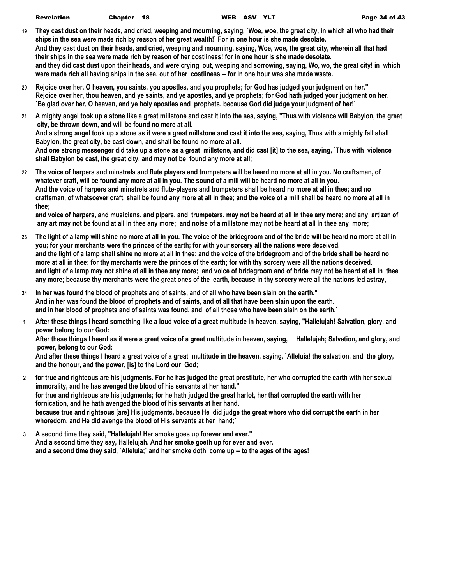| Revelation | Chapter 18 | WEB ASV YLT | Page 34 of 43 |
|------------|------------|-------------|---------------|
|            |            |             |               |

- **19 They cast dust on their heads, and cried, weeping and mourning, saying, `Woe, woe, the great city, in which all who had their ships in the sea were made rich by reason of her great wealth!` For in one hour is she made desolate. And they cast dust on their heads, and cried, weeping and mourning, saying, Woe, woe, the great city, wherein all that had their ships in the sea were made rich by reason of her costliness! for in one hour is she made desolate. and they did cast dust upon their heads, and were crying out, weeping and sorrowing, saying, Wo, wo, the great city! in which were made rich all having ships in the sea, out of her costliness -- for in one hour was she made waste.**
- **20 Rejoice over her, O heaven, you saints, you apostles, and you prophets; for God has judged your judgment on her." Rejoice over her, thou heaven, and ye saints, and ye apostles, and ye prophets; for God hath judged your judgment on her. `Be glad over her, O heaven, and ye holy apostles and prophets, because God did judge your judgment of her!`**
- **21 A mighty angel took up a stone like a great millstone and cast it into the sea, saying, "Thus with violence will Babylon, the great city, be thrown down, and will be found no more at all. And a strong angel took up a stone as it were a great millstone and cast it into the sea, saying, Thus with a mighty fall shall Babylon, the great city, be cast down, and shall be found no more at all. And one strong messenger did take up a stone as a great millstone, and did cast [it] to the sea, saying, `Thus with violence shall Babylon be cast, the great city, and may not be found any more at all;**
- **22 The voice of harpers and minstrels and flute players and trumpeters will be heard no more at all in you. No craftsman, of whatever craft, will be found any more at all in you. The sound of a mill will be heard no more at all in you. And the voice of harpers and minstrels and flute-players and trumpeters shall be heard no more at all in thee; and no craftsman, of whatsoever craft, shall be found any more at all in thee; and the voice of a mill shall be heard no more at all in thee;**

**and voice of harpers, and musicians, and pipers, and trumpeters, may not be heard at all in thee any more; and any artizan of any art may not be found at all in thee any more; and noise of a millstone may not be heard at all in thee any more;**

- **23 The light of a lamp will shine no more at all in you. The voice of the bridegroom and of the bride will be heard no more at all in you; for your merchants were the princes of the earth; for with your sorcery all the nations were deceived. and the light of a lamp shall shine no more at all in thee; and the voice of the bridegroom and of the bride shall be heard no more at all in thee: for thy merchants were the princes of the earth; for with thy sorcery were all the nations deceived. and light of a lamp may not shine at all in thee any more; and voice of bridegroom and of bride may not be heard at all in thee any more; because thy merchants were the great ones of the earth, because in thy sorcery were all the nations led astray,**
- **24 In her was found the blood of prophets and of saints, and of all who have been slain on the earth." And in her was found the blood of prophets and of saints, and of all that have been slain upon the earth. and in her blood of prophets and of saints was found, and of all those who have been slain on the earth.`**
- **1 After these things I heard something like a loud voice of a great multitude in heaven, saying, "Hallelujah! Salvation, glory, and power belong to our God:**

**After these things I heard as it were a great voice of a great multitude in heaven, saying, Hallelujah; Salvation, and glory, and power, belong to our God:**

**And after these things I heard a great voice of a great multitude in the heaven, saying, `Alleluia! the salvation, and the glory, and the honour, and the power, [is] to the Lord our God;**

- **2 for true and righteous are his judgments. For he has judged the great prostitute, her who corrupted the earth with her sexual immorality, and he has avenged the blood of his servants at her hand." for true and righteous are his judgments; for he hath judged the great harlot, her that corrupted the earth with her fornication, and he hath avenged the blood of his servants at her hand. because true and righteous [are] His judgments, because He did judge the great whore who did corrupt the earth in her whoredom, and He did avenge the blood of His servants at her hand;`**
- **3 A second time they said, "Hallelujah! Her smoke goes up forever and ever." And a second time they say, Hallelujah. And her smoke goeth up for ever and ever. and a second time they said, `Alleluia;` and her smoke doth come up -- to the ages of the ages!**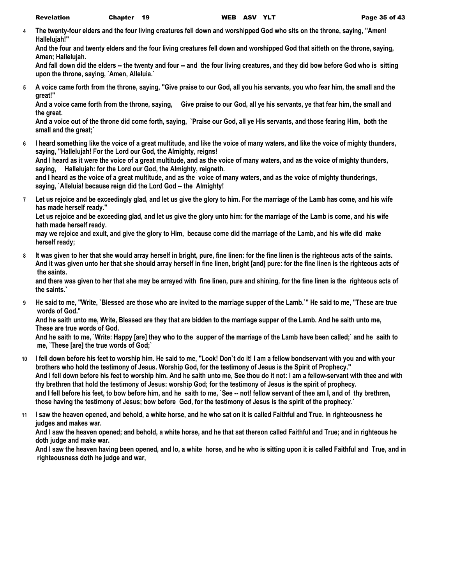**4 The twenty-four elders and the four living creatures fell down and worshipped God who sits on the throne, saying, "Amen! Hallelujah!"**

**And the four and twenty elders and the four living creatures fell down and worshipped God that sitteth on the throne, saying, Amen; Hallelujah.**

**And fall down did the elders -- the twenty and four -- and the four living creatures, and they did bow before God who is sitting upon the throne, saying, `Amen, Alleluia.`**

**5 A voice came forth from the throne, saying, "Give praise to our God, all you his servants, you who fear him, the small and the great!"**

**And a voice came forth from the throne, saying, Give praise to our God, all ye his servants, ye that fear him, the small and the great.**

**And a voice out of the throne did come forth, saying, `Praise our God, all ye His servants, and those fearing Him, both the small and the great;`**

**6 I heard something like the voice of a great multitude, and like the voice of many waters, and like the voice of mighty thunders, saying, "Hallelujah! For the Lord our God, the Almighty, reigns!**

**And I heard as it were the voice of a great multitude, and as the voice of many waters, and as the voice of mighty thunders, saying, Hallelujah: for the Lord our God, the Almighty, reigneth.**

**and I heard as the voice of a great multitude, and as the voice of many waters, and as the voice of mighty thunderings, saying, `Alleluia! because reign did the Lord God -- the Almighty!**

**7 Let us rejoice and be exceedingly glad, and let us give the glory to him. For the marriage of the Lamb has come, and his wife has made herself ready."**

**Let us rejoice and be exceeding glad, and let us give the glory unto him: for the marriage of the Lamb is come, and his wife hath made herself ready.**

**may we rejoice and exult, and give the glory to Him, because come did the marriage of the Lamb, and his wife did make herself ready;**

**8 It was given to her that she would array herself in bright, pure, fine linen: for the fine linen is the righteous acts of the saints. And it was given unto her that she should array herself in fine linen, bright [and] pure: for the fine linen is the righteous acts of the saints.**

**and there was given to her that she may be arrayed with fine linen, pure and shining, for the fine linen is the righteous acts of the saints.`**

**9 He said to me, "Write, `Blessed are those who are invited to the marriage supper of the Lamb.`" He said to me, "These are true words of God."**

**And he saith unto me, Write, Blessed are they that are bidden to the marriage supper of the Lamb. And he saith unto me, These are true words of God.**

**And he saith to me, `Write: Happy [are] they who to the supper of the marriage of the Lamb have been called;` and he saith to me, `These [are] the true words of God;`**

- **10 I fell down before his feet to worship him. He said to me, "Look! Don`t do it! I am a fellow bondservant with you and with your brothers who hold the testimony of Jesus. Worship God, for the testimony of Jesus is the Spirit of Prophecy." And I fell down before his feet to worship him. And he saith unto me, See thou do it not: I am a fellow-servant with thee and with thy brethren that hold the testimony of Jesus: worship God; for the testimony of Jesus is the spirit of prophecy. and I fell before his feet, to bow before him, and he saith to me, `See -- not! fellow servant of thee am I, and of thy brethren, those having the testimony of Jesus; bow before God, for the testimony of Jesus is the spirit of the prophecy.`**
- **11 I saw the heaven opened, and behold, a white horse, and he who sat on it is called Faithful and True. In righteousness he judges and makes war.**

**And I saw the heaven opened; and behold, a white horse, and he that sat thereon called Faithful and True; and in righteous he doth judge and make war.**

**And I saw the heaven having been opened, and lo, a white horse, and he who is sitting upon it is called Faithful and True, and in righteousness doth he judge and war,**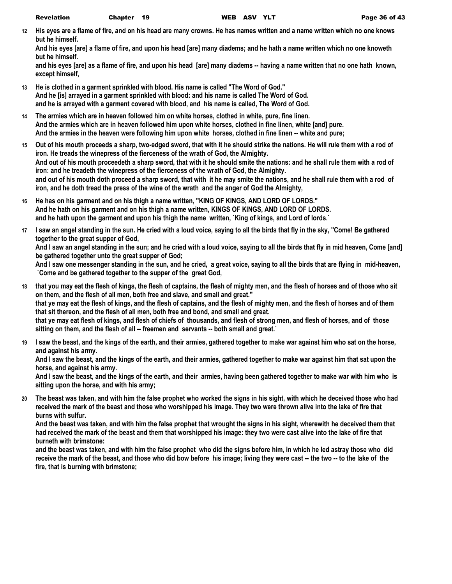**12 His eyes are a flame of fire, and on his head are many crowns. He has names written and a name written which no one knows but he himself.**

**And his eyes [are] a flame of fire, and upon his head [are] many diadems; and he hath a name written which no one knoweth but he himself.**

**and his eyes [are] as a flame of fire, and upon his head [are] many diadems -- having a name written that no one hath known, except himself,**

- **13 He is clothed in a garment sprinkled with blood. His name is called "The Word of God." And he [is] arrayed in a garment sprinkled with blood: and his name is called The Word of God. and he is arrayed with a garment covered with blood, and his name is called, The Word of God.**
- **14 The armies which are in heaven followed him on white horses, clothed in white, pure, fine linen. And the armies which are in heaven followed him upon white horses, clothed in fine linen, white [and] pure. And the armies in the heaven were following him upon white horses, clothed in fine linen -- white and pure;**
- **15 Out of his mouth proceeds a sharp, two-edged sword, that with it he should strike the nations. He will rule them with a rod of iron. He treads the winepress of the fierceness of the wrath of God, the Almighty. And out of his mouth proceedeth a sharp sword, that with it he should smite the nations: and he shall rule them with a rod of iron: and he treadeth the winepress of the fierceness of the wrath of God, the Almighty. and out of his mouth doth proceed a sharp sword, that with it he may smite the nations, and he shall rule them with a rod of iron, and he doth tread the press of the wine of the wrath and the anger of God the Almighty,**
- **16 He has on his garment and on his thigh a name written, "KING OF KINGS, AND LORD OF LORDS." And he hath on his garment and on his thigh a name written, KINGS OF KINGS, AND LORD OF LORDS. and he hath upon the garment and upon his thigh the name written, `King of kings, and Lord of lords.`**
- **17 I saw an angel standing in the sun. He cried with a loud voice, saying to all the birds that fly in the sky, "Come! Be gathered together to the great supper of God,**

**And I saw an angel standing in the sun; and he cried with a loud voice, saying to all the birds that fly in mid heaven, Come [and] be gathered together unto the great supper of God;**

**And I saw one messenger standing in the sun, and he cried, a great voice, saying to all the birds that are flying in mid-heaven, `Come and be gathered together to the supper of the great God,**

- **18 that you may eat the flesh of kings, the flesh of captains, the flesh of mighty men, and the flesh of horses and of those who sit on them, and the flesh of all men, both free and slave, and small and great." that ye may eat the flesh of kings, and the flesh of captains, and the flesh of mighty men, and the flesh of horses and of them that sit thereon, and the flesh of all men, both free and bond, and small and great. that ye may eat flesh of kings, and flesh of chiefs of thousands, and flesh of strong men, and flesh of horses, and of those**  sitting on them, and the flesh of all -- freemen and servants -- both small and great.`
- **19 I saw the beast, and the kings of the earth, and their armies, gathered together to make war against him who sat on the horse, and against his army.**

**And I saw the beast, and the kings of the earth, and their armies, gathered together to make war against him that sat upon the horse, and against his army.**

**And I saw the beast, and the kings of the earth, and their armies, having been gathered together to make war with him who is sitting upon the horse, and with his army;**

**20 The beast was taken, and with him the false prophet who worked the signs in his sight, with which he deceived those who had received the mark of the beast and those who worshipped his image. They two were thrown alive into the lake of fire that burns with sulfur.**

**And the beast was taken, and with him the false prophet that wrought the signs in his sight, wherewith he deceived them that had received the mark of the beast and them that worshipped his image: they two were cast alive into the lake of fire that burneth with brimstone:**

**and the beast was taken, and with him the false prophet who did the signs before him, in which he led astray those who did**  receive the mark of the beast, and those who did bow before his image; living they were cast -- the two -- to the lake of the **fire, that is burning with brimstone;**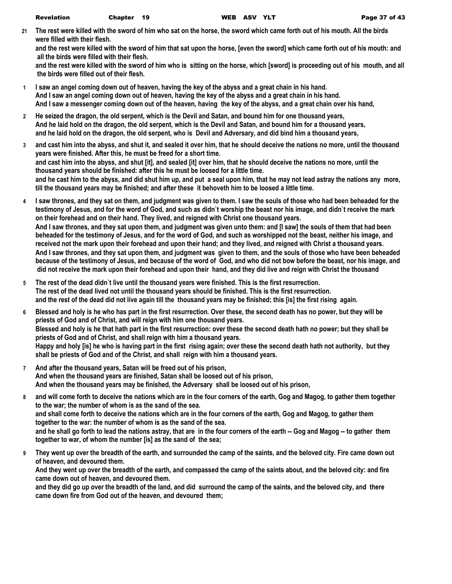**21 The rest were killed with the sword of him who sat on the horse, the sword which came forth out of his mouth. All the birds were filled with their flesh.**

**and the rest were killed with the sword of him that sat upon the horse, [even the sword] which came forth out of his mouth: and all the birds were filled with their flesh.**

**and the rest were killed with the sword of him who is sitting on the horse, which [sword] is proceeding out of his mouth, and all the birds were filled out of their flesh.**

- **1 I saw an angel coming down out of heaven, having the key of the abyss and a great chain in his hand. And I saw an angel coming down out of heaven, having the key of the abyss and a great chain in his hand. And I saw a messenger coming down out of the heaven, having the key of the abyss, and a great chain over his hand,**
- **2 He seized the dragon, the old serpent, which is the Devil and Satan, and bound him for one thousand years, And he laid hold on the dragon, the old serpent, which is the Devil and Satan, and bound him for a thousand years, and he laid hold on the dragon, the old serpent, who is Devil and Adversary, and did bind him a thousand years,**
- **3 and cast him into the abyss, and shut it, and sealed it over him, that he should deceive the nations no more, until the thousand years were finished. After this, he must be freed for a short time. and cast him into the abyss, and shut [it], and sealed [it] over him, that he should deceive the nations no more, until the thousand years should be finished: after this he must be loosed for a little time. and he cast him to the abyss, and did shut him up, and put a seal upon him, that he may not lead astray the nations any more, till the thousand years may be finished; and after these it behoveth him to be loosed a little time.**
- **4 I saw thrones, and they sat on them, and judgment was given to them. I saw the souls of those who had been beheaded for the testimony of Jesus, and for the word of God, and such as didn`t worship the beast nor his image, and didn`t receive the mark on their forehead and on their hand. They lived, and reigned with Christ one thousand years. And I saw thrones, and they sat upon them, and judgment was given unto them: and [I saw] the souls of them that had been beheaded for the testimony of Jesus, and for the word of God, and such as worshipped not the beast, neither his image, and received not the mark upon their forehead and upon their hand; and they lived, and reigned with Christ a thousand years. And I saw thrones, and they sat upon them, and judgment was given to them, and the souls of those who have been beheaded because of the testimony of Jesus, and because of the word of God, and who did not bow before the beast, nor his image, and did not receive the mark upon their forehead and upon their hand, and they did live and reign with Christ the thousand**
- **5 The rest of the dead didn`t live until the thousand years were finished. This is the first resurrection. The rest of the dead lived not until the thousand years should be finished. This is the first resurrection. and the rest of the dead did not live again till the thousand years may be finished; this [is] the first rising again.**
- **6 Blessed and holy is he who has part in the first resurrection. Over these, the second death has no power, but they will be priests of God and of Christ, and will reign with him one thousand years. Blessed and holy is he that hath part in the first resurrection: over these the second death hath no power; but they shall be priests of God and of Christ, and shall reign with him a thousand years. Happy and holy [is] he who is having part in the first rising again; over these the second death hath not authority, but they shall be priests of God and of the Christ, and shall reign with him a thousand years.**
- **7 And after the thousand years, Satan will be freed out of his prison, And when the thousand years are finished, Satan shall be loosed out of his prison, And when the thousand years may be finished, the Adversary shall be loosed out of his prison,**
- **8 and will come forth to deceive the nations which are in the four corners of the earth, Gog and Magog, to gather them together to the war; the number of whom is as the sand of the sea. and shall come forth to deceive the nations which are in the four corners of the earth, Gog and Magog, to gather them together to the war: the number of whom is as the sand of the sea. and he shall go forth to lead the nations astray, that are in the four corners of the earth -- Gog and Magog -- to gather them together to war, of whom the number [is] as the sand of the sea;**
- **9 They went up over the breadth of the earth, and surrounded the camp of the saints, and the beloved city. Fire came down out of heaven, and devoured them.**

**And they went up over the breadth of the earth, and compassed the camp of the saints about, and the beloved city: and fire came down out of heaven, and devoured them.**

**and they did go up over the breadth of the land, and did surround the camp of the saints, and the beloved city, and there came down fire from God out of the heaven, and devoured them;**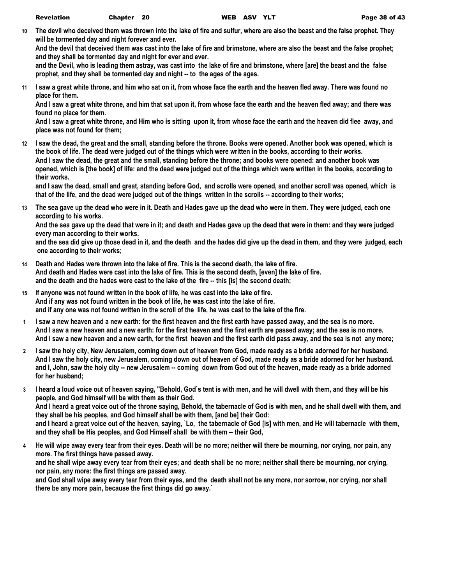**10 The devil who deceived them was thrown into the lake of fire and sulfur, where are also the beast and the false prophet. They will be tormented day and night forever and ever.**

**And the devil that deceived them was cast into the lake of fire and brimstone, where are also the beast and the false prophet; and they shall be tormented day and night for ever and ever.**

**and the Devil, who is leading them astray, was cast into the lake of fire and brimstone, where [are] the beast and the false prophet, and they shall be tormented day and night -- to the ages of the ages.**

**11 I saw a great white throne, and him who sat on it, from whose face the earth and the heaven fled away. There was found no place for them.**

**And I saw a great white throne, and him that sat upon it, from whose face the earth and the heaven fled away; and there was found no place for them.**

**And I saw a great white throne, and Him who is sitting upon it, from whose face the earth and the heaven did flee away, and place was not found for them;**

**12 I saw the dead, the great and the small, standing before the throne. Books were opened. Another book was opened, which is the book of life. The dead were judged out of the things which were written in the books, according to their works. And I saw the dead, the great and the small, standing before the throne; and books were opened: and another book was opened, which is [the book] of life: and the dead were judged out of the things which were written in the books, according to their works.**

**and I saw the dead, small and great, standing before God, and scrolls were opened, and another scroll was opened, which is that of the life, and the dead were judged out of the things written in the scrolls -- according to their works;**

**13 The sea gave up the dead who were in it. Death and Hades gave up the dead who were in them. They were judged, each one according to his works.**

**And the sea gave up the dead that were in it; and death and Hades gave up the dead that were in them: and they were judged every man according to their works.**

**and the sea did give up those dead in it, and the death and the hades did give up the dead in them, and they were judged, each one according to their works;**

- **14 Death and Hades were thrown into the lake of fire. This is the second death, the lake of fire. And death and Hades were cast into the lake of fire. This is the second death, [even] the lake of fire. and the death and the hades were cast to the lake of the fire -- this [is] the second death;**
- **15 If anyone was not found written in the book of life, he was cast into the lake of fire. And if any was not found written in the book of life, he was cast into the lake of fire. and if any one was not found written in the scroll of the life, he was cast to the lake of the fire.**
- **1 I saw a new heaven and a new earth: for the first heaven and the first earth have passed away, and the sea is no more. And I saw a new heaven and a new earth: for the first heaven and the first earth are passed away; and the sea is no more. And I saw a new heaven and a new earth, for the first heaven and the first earth did pass away, and the sea is not any more;**
- **2 I saw the holy city, New Jerusalem, coming down out of heaven from God, made ready as a bride adorned for her husband. And I saw the holy city, new Jerusalem, coming down out of heaven of God, made ready as a bride adorned for her husband. and I, John, saw the holy city -- new Jerusalem -- coming down from God out of the heaven, made ready as a bride adorned for her husband;**
- **3 I heard a loud voice out of heaven saying, "Behold, God`s tent is with men, and he will dwell with them, and they will be his people, and God himself will be with them as their God. And I heard a great voice out of the throne saying, Behold, the tabernacle of God is with men, and he shall dwell with them, and they shall be his peoples, and God himself shall be with them, [and be] their God: and I heard a great voice out of the heaven, saying, `Lo, the tabernacle of God [is] with men, and He will tabernacle with them, and they shall be His peoples, and God Himself shall be with them -- their God,**
- **4 He will wipe away every tear from their eyes. Death will be no more; neither will there be mourning, nor crying, nor pain, any more. The first things have passed away. and he shall wipe away every tear from their eyes; and death shall be no more; neither shall there be mourning, nor crying, nor pain, any more: the first things are passed away.**

**and God shall wipe away every tear from their eyes, and the death shall not be any more, nor sorrow, nor crying, nor shall there be any more pain, because the first things did go away.`**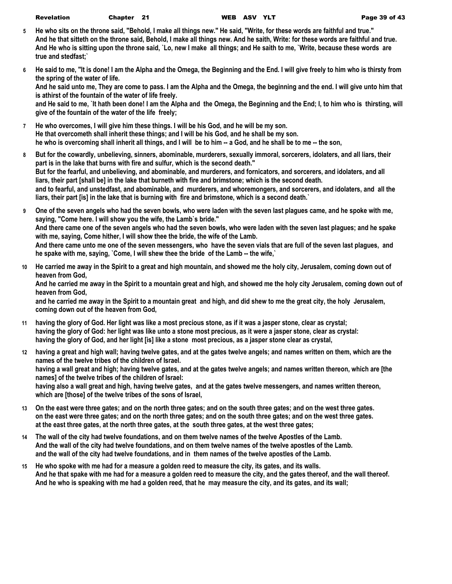| <b>Revelation</b> | <b>Chapter</b> |
|-------------------|----------------|
|-------------------|----------------|

- **5 He who sits on the throne said, "Behold, I make all things new." He said, "Write, for these words are faithful and true." And he that sitteth on the throne said, Behold, I make all things new. And he saith, Write: for these words are faithful and true. And He who is sitting upon the throne said, `Lo, new I make all things; and He saith to me, `Write, because these words are true and stedfast;`**
- **6 He said to me, "It is done! I am the Alpha and the Omega, the Beginning and the End. I will give freely to him who is thirsty from the spring of the water of life. And he said unto me, They are come to pass. I am the Alpha and the Omega, the beginning and the end. I will give unto him that is athirst of the fountain of the water of life freely.**

**and He said to me, `It hath been done! I am the Alpha and the Omega, the Beginning and the End; I, to him who is thirsting, will give of the fountain of the water of the life freely;**

- **7 He who overcomes, I will give him these things. I will be his God, and he will be my son. He that overcometh shall inherit these things; and I will be his God, and he shall be my son. he who is overcoming shall inherit all things, and I will be to him -- a God, and he shall be to me -- the son,**
- **8 But for the cowardly, unbelieving, sinners, abominable, murderers, sexually immoral, sorcerers, idolaters, and all liars, their part is in the lake that burns with fire and sulfur, which is the second death." But for the fearful, and unbelieving, and abominable, and murderers, and fornicators, and sorcerers, and idolaters, and all liars, their part [shall be] in the lake that burneth with fire and brimstone; which is the second death. and to fearful, and unstedfast, and abominable, and murderers, and whoremongers, and sorcerers, and idolaters, and all the liars, their part [is] in the lake that is burning with fire and brimstone, which is a second death.`**
- **9 One of the seven angels who had the seven bowls, who were laden with the seven last plagues came, and he spoke with me, saying, "Come here. I will show you the wife, the Lamb`s bride." And there came one of the seven angels who had the seven bowls, who were laden with the seven last plagues; and he spake with me, saying, Come hither, I will show thee the bride, the wife of the Lamb. And there came unto me one of the seven messengers, who have the seven vials that are full of the seven last plagues, and he spake with me, saying, `Come, I will shew thee the bride of the Lamb -- the wife,`**
- **10 He carried me away in the Spirit to a great and high mountain, and showed me the holy city, Jerusalem, coming down out of heaven from God,**

**And he carried me away in the Spirit to a mountain great and high, and showed me the holy city Jerusalem, coming down out of heaven from God,**

**and he carried me away in the Spirit to a mountain great and high, and did shew to me the great city, the holy Jerusalem, coming down out of the heaven from God,**

- **11 having the glory of God. Her light was like a most precious stone, as if it was a jasper stone, clear as crystal; having the glory of God: her light was like unto a stone most precious, as it were a jasper stone, clear as crystal: having the glory of God, and her light [is] like a stone most precious, as a jasper stone clear as crystal,**
- **12 having a great and high wall; having twelve gates, and at the gates twelve angels; and names written on them, which are the names of the twelve tribes of the children of Israel. having a wall great and high; having twelve gates, and at the gates twelve angels; and names written thereon, which are [the names] of the twelve tribes of the children of Israel: having also a wall great and high, having twelve gates, and at the gates twelve messengers, and names written thereon, which are [those] of the twelve tribes of the sons of Israel,**
- **13 On the east were three gates; and on the north three gates; and on the south three gates; and on the west three gates. on the east were three gates; and on the north three gates; and on the south three gates; and on the west three gates. at the east three gates, at the north three gates, at the south three gates, at the west three gates;**
- **14 The wall of the city had twelve foundations, and on them twelve names of the twelve Apostles of the Lamb. And the wall of the city had twelve foundations, and on them twelve names of the twelve apostles of the Lamb. and the wall of the city had twelve foundations, and in them names of the twelve apostles of the Lamb.**
- **15 He who spoke with me had for a measure a golden reed to measure the city, its gates, and its walls. And he that spake with me had for a measure a golden reed to measure the city, and the gates thereof, and the wall thereof. And he who is speaking with me had a golden reed, that he may measure the city, and its gates, and its wall;**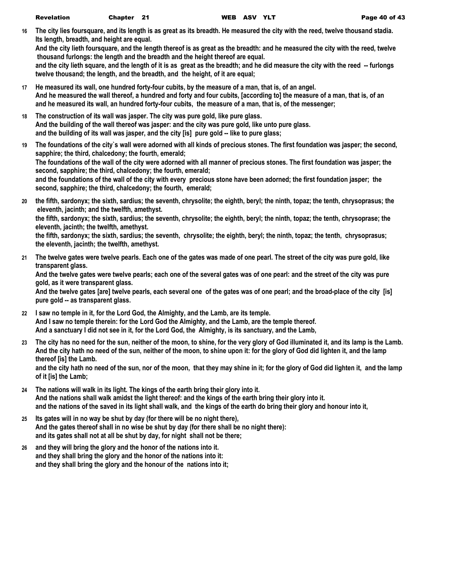**16 The city lies foursquare, and its length is as great as its breadth. He measured the city with the reed, twelve thousand stadia. Its length, breadth, and height are equal.**

**And the city lieth foursquare, and the length thereof is as great as the breadth: and he measured the city with the reed, twelve thousand furlongs: the length and the breadth and the height thereof are equal.**

and the city lieth square, and the length of it is as great as the breadth; and he did measure the city with the reed -- furlongs **twelve thousand; the length, and the breadth, and the height, of it are equal;**

- **17 He measured its wall, one hundred forty-four cubits, by the measure of a man, that is, of an angel. And he measured the wall thereof, a hundred and forty and four cubits, [according to] the measure of a man, that is, of an and he measured its wall, an hundred forty-four cubits, the measure of a man, that is, of the messenger;**
- **18 The construction of its wall was jasper. The city was pure gold, like pure glass. And the building of the wall thereof was jasper: and the city was pure gold, like unto pure glass. and the building of its wall was jasper, and the city [is] pure gold -- like to pure glass;**
- **19 The foundations of the city`s wall were adorned with all kinds of precious stones. The first foundation was jasper; the second, sapphire; the third, chalcedony; the fourth, emerald; The foundations of the wall of the city were adorned with all manner of precious stones. The first foundation was jasper; the second, sapphire; the third, chalcedony; the fourth, emerald; and the foundations of the wall of the city with every precious stone have been adorned; the first foundation jasper; the second, sapphire; the third, chalcedony; the fourth, emerald;**
- **20 the fifth, sardonyx; the sixth, sardius; the seventh, chrysolite; the eighth, beryl; the ninth, topaz; the tenth, chrysoprasus; the eleventh, jacinth; and the twelfth, amethyst. the fifth, sardonyx; the sixth, sardius; the seventh, chrysolite; the eighth, beryl; the ninth, topaz; the tenth, chrysoprase; the eleventh, jacinth; the twelfth, amethyst. the fifth, sardonyx; the sixth, sardius; the seventh, chrysolite; the eighth, beryl; the ninth, topaz; the tenth, chrysoprasus; the eleventh, jacinth; the twelfth, amethyst.**
- **21 The twelve gates were twelve pearls. Each one of the gates was made of one pearl. The street of the city was pure gold, like transparent glass. And the twelve gates were twelve pearls; each one of the several gates was of one pearl: and the street of the city was pure**

**gold, as it were transparent glass. And the twelve gates [are] twelve pearls, each several one of the gates was of one pearl; and the broad-place of the city [is] pure gold -- as transparent glass.**

- **22 I saw no temple in it, for the Lord God, the Almighty, and the Lamb, are its temple. And I saw no temple therein: for the Lord God the Almighty, and the Lamb, are the temple thereof. And a sanctuary I did not see in it, for the Lord God, the Almighty, is its sanctuary, and the Lamb,**
- **23 The city has no need for the sun, neither of the moon, to shine, for the very glory of God illuminated it, and its lamp is the Lamb. And the city hath no need of the sun, neither of the moon, to shine upon it: for the glory of God did lighten it, and the lamp thereof [is] the Lamb.**

**and the city hath no need of the sun, nor of the moon, that they may shine in it; for the glory of God did lighten it, and the lamp of it [is] the Lamb;**

- **24 The nations will walk in its light. The kings of the earth bring their glory into it. And the nations shall walk amidst the light thereof: and the kings of the earth bring their glory into it. and the nations of the saved in its light shall walk, and the kings of the earth do bring their glory and honour into it,**
- **25 Its gates will in no way be shut by day (for there will be no night there), And the gates thereof shall in no wise be shut by day (for there shall be no night there): and its gates shall not at all be shut by day, for night shall not be there;**
- **26 and they will bring the glory and the honor of the nations into it. and they shall bring the glory and the honor of the nations into it: and they shall bring the glory and the honour of the nations into it;**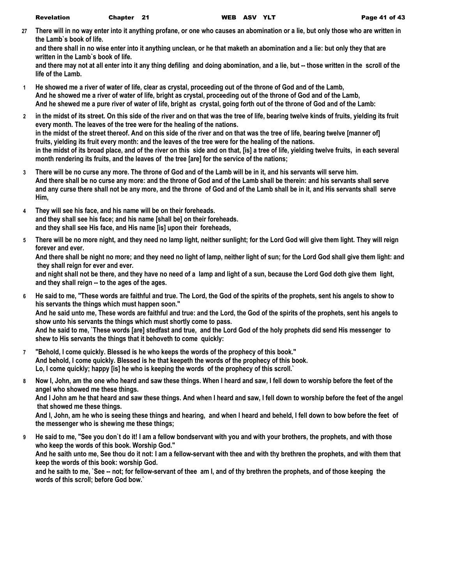**27 There will in no way enter into it anything profane, or one who causes an abomination or a lie, but only those who are written in the Lamb`s book of life.**

**and there shall in no wise enter into it anything unclean, or he that maketh an abomination and a lie: but only they that are written in the Lamb`s book of life.**

**and there may not at all enter into it any thing defiling and doing abomination, and a lie, but -- those written in the scroll of the life of the Lamb.**

- **1 He showed me a river of water of life, clear as crystal, proceeding out of the throne of God and of the Lamb, And he showed me a river of water of life, bright as crystal, proceeding out of the throne of God and of the Lamb, And he shewed me a pure river of water of life, bright as crystal, going forth out of the throne of God and of the Lamb:**
- **2 in the midst of its street. On this side of the river and on that was the tree of life, bearing twelve kinds of fruits, yielding its fruit every month. The leaves of the tree were for the healing of the nations. in the midst of the street thereof. And on this side of the river and on that was the tree of life, bearing twelve [manner of] fruits, yielding its fruit every month: and the leaves of the tree were for the healing of the nations. in the midst of its broad place, and of the river on this side and on that, [is] a tree of life, yielding twelve fruits, in each several month rendering its fruits, and the leaves of the tree [are] for the service of the nations;**
- **3 There will be no curse any more. The throne of God and of the Lamb will be in it, and his servants will serve him. And there shall be no curse any more: and the throne of God and of the Lamb shall be therein: and his servants shall serve and any curse there shall not be any more, and the throne of God and of the Lamb shall be in it, and His servants shall serve Him,**
- **4 They will see his face, and his name will be on their foreheads. and they shall see his face; and his name [shall be] on their foreheads. and they shall see His face, and His name [is] upon their foreheads,**
- **5 There will be no more night, and they need no lamp light, neither sunlight; for the Lord God will give them light. They will reign forever and ever.**

**And there shall be night no more; and they need no light of lamp, neither light of sun; for the Lord God shall give them light: and they shall reign for ever and ever.**

**and night shall not be there, and they have no need of a lamp and light of a sun, because the Lord God doth give them light, and they shall reign -- to the ages of the ages.**

**6 He said to me, "These words are faithful and true. The Lord, the God of the spirits of the prophets, sent his angels to show to his servants the things which must happen soon."**

**And he said unto me, These words are faithful and true: and the Lord, the God of the spirits of the prophets, sent his angels to show unto his servants the things which must shortly come to pass.**

**And he said to me, `These words [are] stedfast and true, and the Lord God of the holy prophets did send His messenger to shew to His servants the things that it behoveth to come quickly:**

- **7 "Behold, I come quickly. Blessed is he who keeps the words of the prophecy of this book." And behold, I come quickly. Blessed is he that keepeth the words of the prophecy of this book. Lo, I come quickly; happy [is] he who is keeping the words of the prophecy of this scroll.`**
- **8 Now I, John, am the one who heard and saw these things. When I heard and saw, I fell down to worship before the feet of the angel who showed me these things.**

**And I John am he that heard and saw these things. And when I heard and saw, I fell down to worship before the feet of the angel that showed me these things.**

**And I, John, am he who is seeing these things and hearing, and when I heard and beheld, I fell down to bow before the feet of the messenger who is shewing me these things;**

**9 He said to me, "See you don`t do it! I am a fellow bondservant with you and with your brothers, the prophets, and with those who keep the words of this book. Worship God."**

**And he saith unto me, See thou do it not: I am a fellow-servant with thee and with thy brethren the prophets, and with them that keep the words of this book: worship God.**

**and he saith to me, `See -- not; for fellow-servant of thee am I, and of thy brethren the prophets, and of those keeping the words of this scroll; before God bow.`**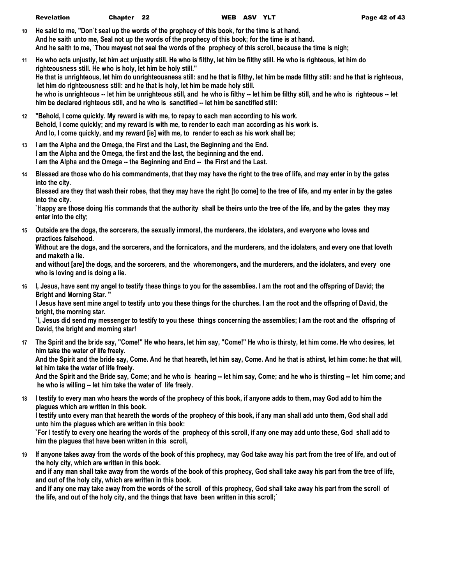- **10 He said to me, "Don`t seal up the words of the prophecy of this book, for the time is at hand. And he saith unto me, Seal not up the words of the prophecy of this book; for the time is at hand. And he saith to me, `Thou mayest not seal the words of the prophecy of this scroll, because the time is nigh;**
- **11 He who acts unjustly, let him act unjustly still. He who is filthy, let him be filthy still. He who is righteous, let him do righteousness still. He who is holy, let him be holy still." He that is unrighteous, let him do unrighteousness still: and he that is filthy, let him be made filthy still: and he that is righteous, let him do righteousness still: and he that is holy, let him be made holy still. he who is unrighteous -- let him be unrighteous still, and he who is filthy -- let him be filthy still, and he who is righteous -- let him be declared righteous still, and he who is sanctified -- let him be sanctified still:**
- **12 "Behold, I come quickly. My reward is with me, to repay to each man according to his work. Behold, I come quickly; and my reward is with me, to render to each man according as his work is. And lo, I come quickly, and my reward [is] with me, to render to each as his work shall be;**
- **13 I am the Alpha and the Omega, the First and the Last, the Beginning and the End. I am the Alpha and the Omega, the first and the last, the beginning and the end. I am the Alpha and the Omega -- the Beginning and End -- the First and the Last.**
- **14 Blessed are those who do his commandments, that they may have the right to the tree of life, and may enter in by the gates into the city.**

**Blessed are they that wash their robes, that they may have the right [to come] to the tree of life, and my enter in by the gates into the city.**

**`Happy are those doing His commands that the authority shall be theirs unto the tree of the life, and by the gates they may enter into the city;**

**15 Outside are the dogs, the sorcerers, the sexually immoral, the murderers, the idolaters, and everyone who loves and practices falsehood.**

**Without are the dogs, and the sorcerers, and the fornicators, and the murderers, and the idolaters, and every one that loveth and maketh a lie.**

**and without [are] the dogs, and the sorcerers, and the whoremongers, and the murderers, and the idolaters, and every one who is loving and is doing a lie.**

**16 I, Jesus, have sent my angel to testify these things to you for the assemblies. I am the root and the offspring of David; the Bright and Morning Star. "**

**I Jesus have sent mine angel to testify unto you these things for the churches. I am the root and the offspring of David, the bright, the morning star.**

**`I, Jesus did send my messenger to testify to you these things concerning the assemblies; I am the root and the offspring of David, the bright and morning star!**

**17 The Spirit and the bride say, "Come!" He who hears, let him say, "Come!" He who is thirsty, let him come. He who desires, let him take the water of life freely.**

**And the Spirit and the bride say, Come. And he that heareth, let him say, Come. And he that is athirst, let him come: he that will, let him take the water of life freely.**

**And the Spirit and the Bride say, Come; and he who is hearing -- let him say, Come; and he who is thirsting -- let him come; and he who is willing -- let him take the water of life freely.**

**18 I testify to every man who hears the words of the prophecy of this book, if anyone adds to them, may God add to him the plagues which are written in this book.**

**I testify unto every man that heareth the words of the prophecy of this book, if any man shall add unto them, God shall add unto him the plagues which are written in this book:**

**`For I testify to every one hearing the words of the prophecy of this scroll, if any one may add unto these, God shall add to him the plagues that have been written in this scroll,**

**19 If anyone takes away from the words of the book of this prophecy, may God take away his part from the tree of life, and out of the holy city, which are written in this book.**

**and if any man shall take away from the words of the book of this prophecy, God shall take away his part from the tree of life, and out of the holy city, which are written in this book.**

**and if any one may take away from the words of the scroll of this prophecy, God shall take away his part from the scroll of the life, and out of the holy city, and the things that have been written in this scroll;`**